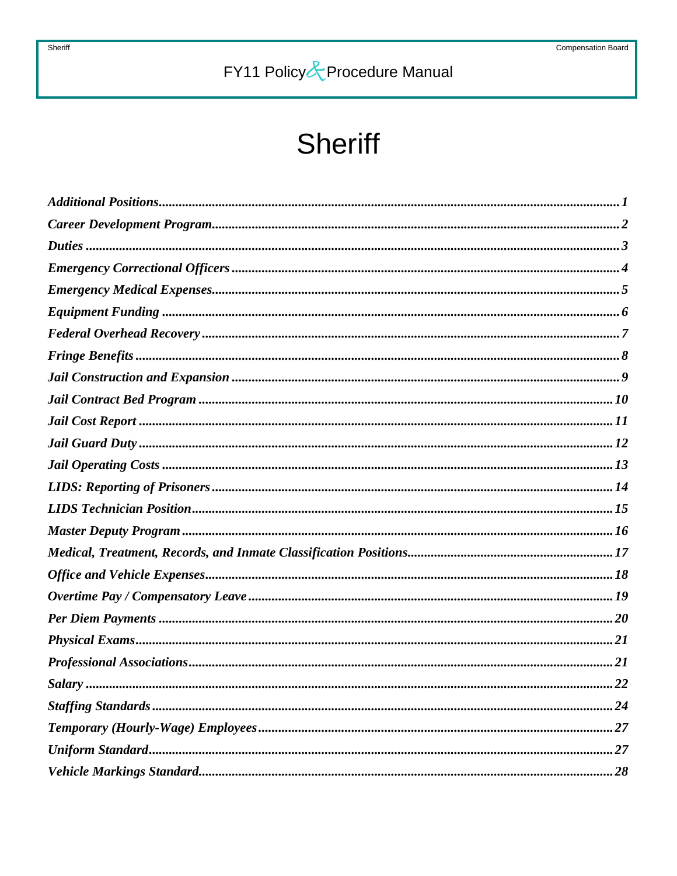# **Sheriff**

| <i>Salary</i><br>22 |
|---------------------|
|                     |
|                     |
|                     |
|                     |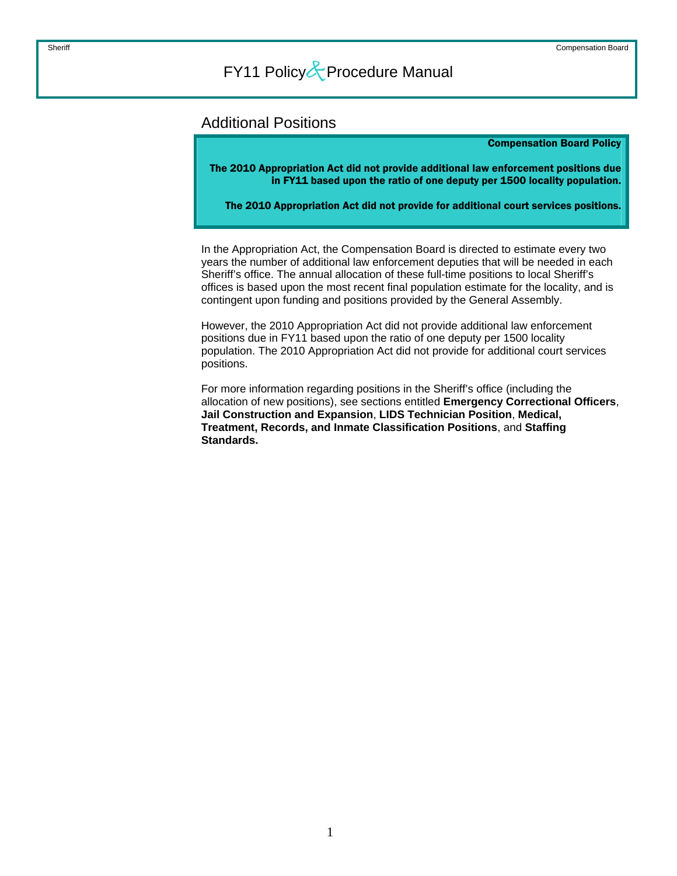### <span id="page-1-0"></span>Additional Positions

#### Compensation Board Policy

The 2010 Appropriation Act did not provide additional law enforcement positions due in FY11 based upon the ratio of one deputy per 1500 locality population.

The 2010 Appropriation Act did not provide for additional court services positions.

In the Appropriation Act, the Compensation Board is directed to estimate every two years the number of additional law enforcement deputies that will be needed in each Sheriff's office. The annual allocation of these full-time positions to local Sheriff's offices is based upon the most recent final population estimate for the locality, and is contingent upon funding and positions provided by the General Assembly.

However, the 2010 Appropriation Act did not provide additional law enforcement positions due in FY11 based upon the ratio of one deputy per 1500 locality population. The 2010 Appropriation Act did not provide for additional court services positions.

For more information regarding positions in the Sheriff's office (including the allocation of new positions), see sections entitled **Emergency Correctional Officers**, **Jail Construction and Expansion**, **LIDS Technician Position**, **Medical, Treatment, Records, and Inmate Classification Positions**, and **Staffing Standards.**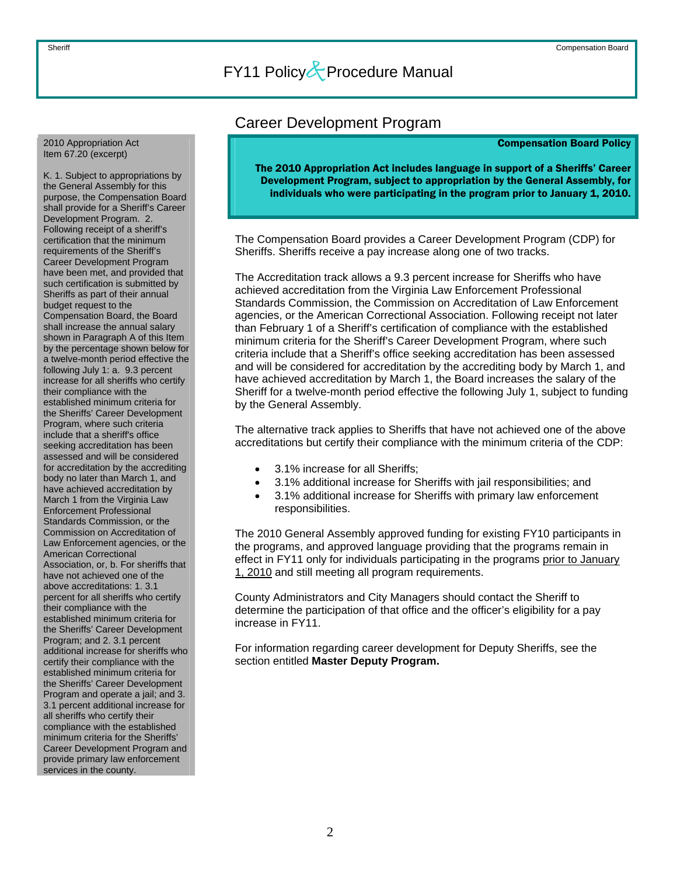<span id="page-2-0"></span>2010 Appropriation Act Item 67.20 (excerpt)

K. 1. Subject to appropriations by the General Assembly for this purpose, the Compensation Board shall provide for a Sheriff's Career Development Program. 2. Following receipt of a sheriff's certification that the minimum requirements of the Sheriff's Career Development Program have been met, and provided that such certification is submitted by Sheriffs as part of their annual budget request to the Compensation Board, the Board shall increase the annual salary shown in Paragraph A of this Item by the percentage shown below for a twelve-month period effective the following July 1: a. 9.3 percent increase for all sheriffs who certify their compliance with the established minimum criteria for the Sheriffs' Career Development Program, where such criteria include that a sheriff's office seeking accreditation has been assessed and will be considered for accreditation by the accrediting body no later than March 1, and have achieved accreditation by March 1 from the Virginia Law Enforcement Professional Standards Commission, or the Commission on Accreditation of Law Enforcement agencies, or the American Correctional Association, or, b. For sheriffs that have not achieved one of the above accreditations: 1. 3.1 percent for all sheriffs who certify their compliance with the established minimum criteria for the Sheriffs' Career Development Program; and 2. 3.1 percent additional increase for sheriffs who certify their compliance with the established minimum criteria for the Sheriffs' Career Development Program and operate a jail; and 3. 3.1 percent additional increase for all sheriffs who certify their compliance with the established minimum criteria for the Sheriffs' Career Development Program and provide primary law enforcement services in the county.

### Career Development Program

#### Compensation Board Policy

The 2010 Appropriation Act includes language in support of a Sheriffs' Career Development Program, subject to appropriation by the General Assembly, for individuals who were participating in the program prior to January 1, 2010.

The Compensation Board provides a Career Development Program (CDP) for Sheriffs. Sheriffs receive a pay increase along one of two tracks.

The Accreditation track allows a 9.3 percent increase for Sheriffs who have achieved accreditation from the Virginia Law Enforcement Professional Standards Commission, the Commission on Accreditation of Law Enforcement agencies, or the American Correctional Association. Following receipt not later than February 1 of a Sheriff's certification of compliance with the established minimum criteria for the Sheriff's Career Development Program, where such criteria include that a Sheriff's office seeking accreditation has been assessed and will be considered for accreditation by the accrediting body by March 1, and have achieved accreditation by March 1, the Board increases the salary of the Sheriff for a twelve-month period effective the following July 1, subject to funding by the General Assembly.

The alternative track applies to Sheriffs that have not achieved one of the above accreditations but certify their compliance with the minimum criteria of the CDP:

- 3.1% increase for all Sheriffs;
- 3.1% additional increase for Sheriffs with jail responsibilities; and
- 3.1% additional increase for Sheriffs with primary law enforcement responsibilities.

The 2010 General Assembly approved funding for existing FY10 participants in the programs, and approved language providing that the programs remain in effect in FY11 only for individuals participating in the programs prior to January 1, 2010 and still meeting all program requirements.

County Administrators and City Managers should contact the Sheriff to determine the participation of that office and the officer's eligibility for a pay increase in FY11.

For information regarding career development for Deputy Sheriffs, see the section entitled **Master Deputy Program.**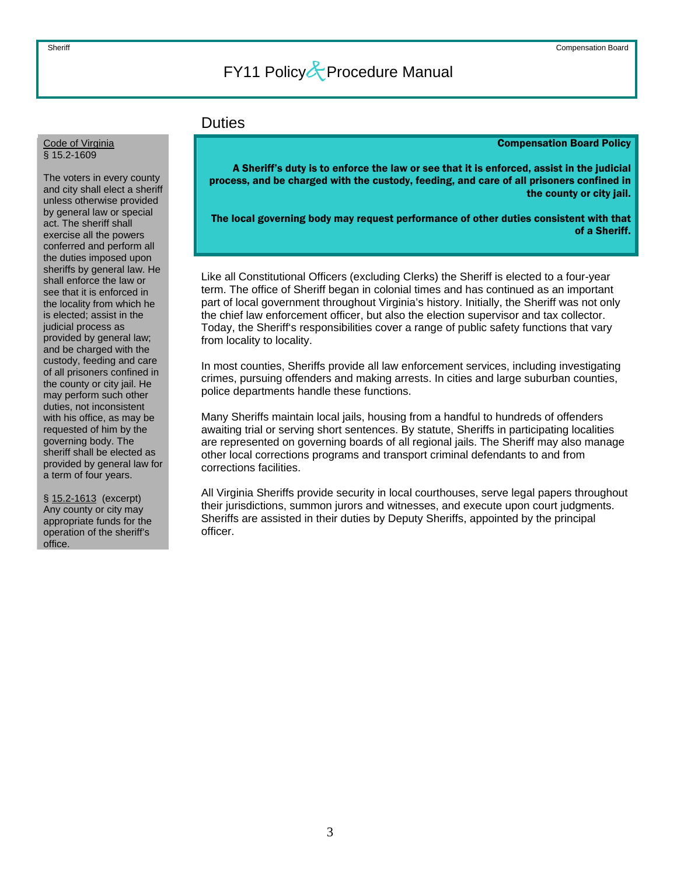### **Duties**

#### Compensation Board Policy

A Sheriff's duty is to enforce the law or see that it is enforced, assist in the judicial process, and be charged with the custody, feeding, and care of all prisoners confined in the county or city jail.

The local governing body may request performance of other duties consistent with that of a Sheriff.

Like all Constitutional Officers (excluding Clerks) the Sheriff is elected to a four-year term. The office of Sheriff began in colonial times and has continued as an important part of local government throughout Virginia's history. Initially, the Sheriff was not only the chief law enforcement officer, but also the election supervisor and tax collector. Today, the Sheriff's responsibilities cover a range of public safety functions that vary from locality to locality.

In most counties, Sheriffs provide all law enforcement services, including investigating crimes, pursuing offenders and making arrests. In cities and large suburban counties, police departments handle these functions.

Many Sheriffs maintain local jails, housing from a handful to hundreds of offenders awaiting trial or serving short sentences. By statute, Sheriffs in participating localities are represented on governing boards of all regional jails. The Sheriff may also manage other local corrections programs and transport criminal defendants to and from corrections facilities.

All Virginia Sheriffs provide security in local courthouses, serve legal papers throughout their jurisdictions, summon jurors and witnesses, and execute upon court judgments. Sheriffs are assisted in their duties by Deputy Sheriffs, appointed by the principal officer.

#### <span id="page-3-0"></span>Code of Virginia § 15.2-1609

The voters in every county and city shall elect a sheriff unless otherwise provided by general law or special act. The sheriff shall exercise all the powers conferred and perform all the duties imposed upon sheriffs by general law. He shall enforce the law or see that it is enforced in the locality from which he is elected; assist in the judicial process as provided by general law; and be charged with the custody, feeding and care of all prisoners confined in the county or city jail. He may perform such other duties, not inconsistent with his office, as may be requested of him by the governing body. The sheriff shall be elected as provided by general law for a term of four years.

§ 15.2-1613 (excerpt) Any county or city may appropriate funds for the operation of the sheriff's office.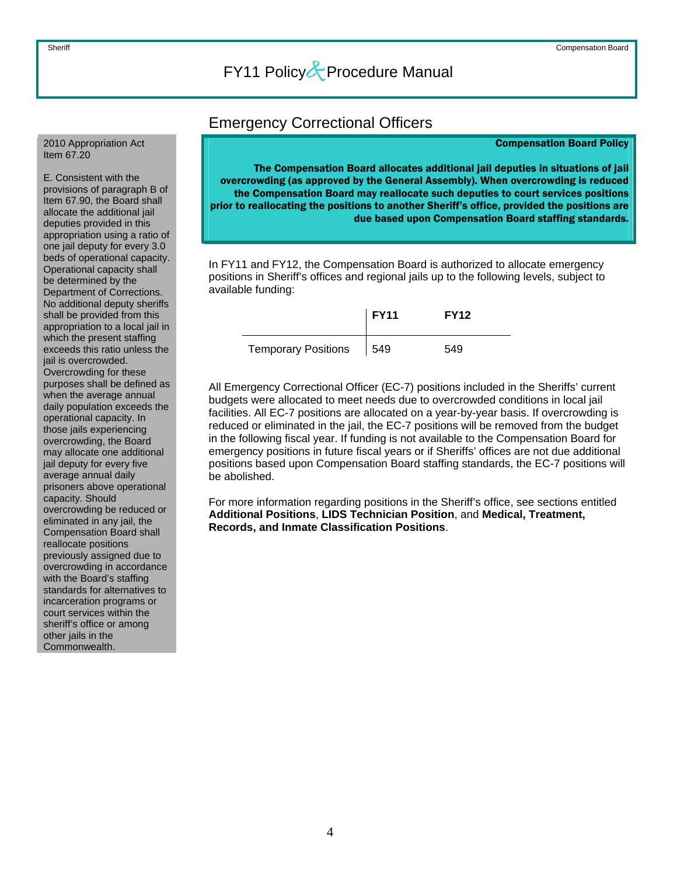#### <span id="page-4-0"></span>2010 Appropriation Act Item 67.20

E. Consistent with the provisions of paragraph B of Item 67.90, the Board shall allocate the additional jail deputies provided in this appropriation using a ratio of one jail deputy for every 3.0 beds of operational capacity. Operational capacity shall be determined by the Department of Corrections. No additional deputy sheriffs shall be provided from this appropriation to a local jail in which the present staffing exceeds this ratio unless the jail is overcrowded. Overcrowding for these purposes shall be defined as when the average annual daily population exceeds the operational capacity. In those jails experiencing overcrowding, the Board may allocate one additional jail deputy for every five average annual daily prisoners above operational capacity. Should overcrowding be reduced or eliminated in any jail, the Compensation Board shall reallocate positions previously assigned due to overcrowding in accordance with the Board's staffing standards for alternatives to incarceration programs or court services within the sheriff's office or among other jails in the Commonwealth.

### Emergency Correctional Officers

#### Compensation Board Policy

The Compensation Board allocates additional jail deputies in situations of jail overcrowding (as approved by the General Assembly). When overcrowding is reduced the Compensation Board may reallocate such deputies to court services positions prior to reallocating the positions to another Sheriff's office, provided the positions are due based upon Compensation Board staffing standards.

In FY11 and FY12, the Compensation Board is authorized to allocate emergency positions in Sheriff's offices and regional jails up to the following levels, subject to available funding:

|                            | <b>FY11</b> | <b>FY12</b> |
|----------------------------|-------------|-------------|
| <b>Temporary Positions</b> | 1549        | 549         |

All Emergency Correctional Officer (EC-7) positions included in the Sheriffs' current budgets were allocated to meet needs due to overcrowded conditions in local jail facilities. All EC-7 positions are allocated on a year-by-year basis. If overcrowding is reduced or eliminated in the jail, the EC-7 positions will be removed from the budget in the following fiscal year. If funding is not available to the Compensation Board for emergency positions in future fiscal years or if Sheriffs' offices are not due additional positions based upon Compensation Board staffing standards, the EC-7 positions will be abolished.

For more information regarding positions in the Sheriff's office, see sections entitled **Additional Positions**, **LIDS Technician Position**, and **Medical, Treatment, Records, and Inmate Classification Positions**.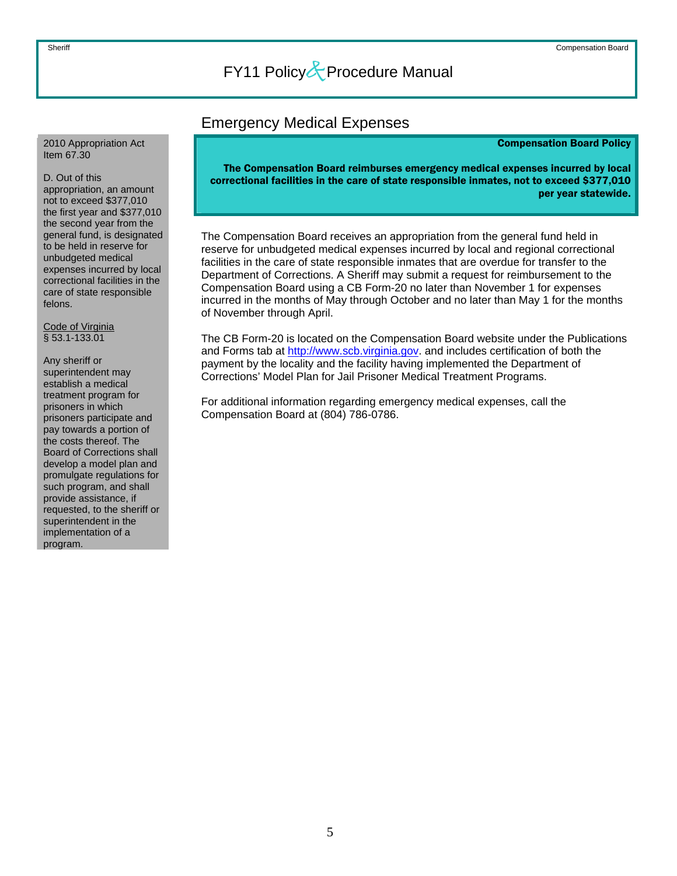### Emergency Medical Expenses

#### Compensation Board Policy

<span id="page-5-0"></span>2010 Appropriation Act Item 67.30

#### D. Out of this

appropriation, an amount not to exceed \$377,010 the first year and \$377,010 the second year from the general fund, is designated to be held in reserve for unbudgeted medical expenses incurred by local correctional facilities in the care of state responsible felons.

Code of Virginia § 53.1-133.01

Any sheriff or superintendent may establish a medical treatment program for prisoners in which prisoners participate and pay towards a portion of the costs thereof. The Board of Corrections shall develop a model plan and promulgate regulations for such program, and shall provide assistance, if requested, to the sheriff or superintendent in the implementation of a program.

The Compensation Board reimburses emergency medical expenses incurred by local correctional facilities in the care of state responsible inmates, not to exceed \$377,010 per year statewide.

The Compensation Board receives an appropriation from the general fund held in reserve for unbudgeted medical expenses incurred by local and regional correctional facilities in the care of state responsible inmates that are overdue for transfer to the Department of Corrections. A Sheriff may submit a request for reimbursement to the Compensation Board using a CB Form-20 no later than November 1 for expenses incurred in the months of May through October and no later than May 1 for the months of November through April.

The CB Form-20 is located on the Compensation Board website under the Publications and Forms tab at [http://www.scb.virginia.gov.](http://www.scb.virginia.gov/) and includes certification of both the payment by the locality and the facility having implemented the Department of Corrections' Model Plan for Jail Prisoner Medical Treatment Programs.

For additional information regarding emergency medical expenses, call the Compensation Board at (804) 786-0786.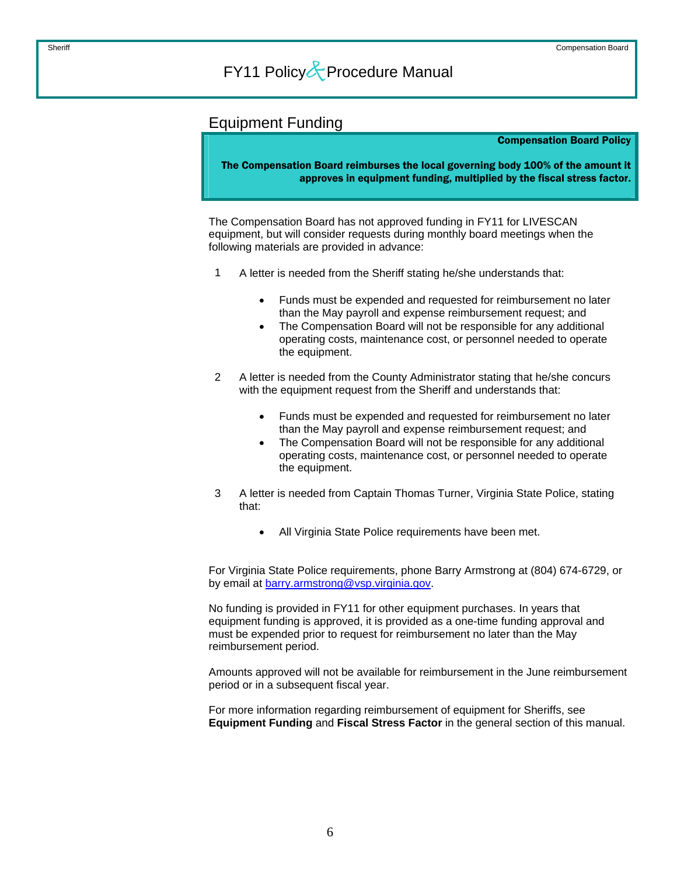### <span id="page-6-0"></span>Equipment Funding

#### Compensation Board Policy

The Compensation Board reimburses the local governing body 100% of the amount it approves in equipment funding, multiplied by the fiscal stress factor.

The Compensation Board has not approved funding in FY11 for LIVESCAN equipment, but will consider requests during monthly board meetings when the following materials are provided in advance:

- 1 A letter is needed from the Sheriff stating he/she understands that:
	- Funds must be expended and requested for reimbursement no later than the May payroll and expense reimbursement request; and
	- The Compensation Board will not be responsible for any additional operating costs, maintenance cost, or personnel needed to operate the equipment.
- A letter is needed from the County Administrator stating that he/she concurs with the equipment request from the Sheriff and understands that: 2
	- Funds must be expended and requested for reimbursement no later than the May payroll and expense reimbursement request; and
	- The Compensation Board will not be responsible for any additional operating costs, maintenance cost, or personnel needed to operate the equipment.
- A letter is needed from Captain Thomas Turner, Virginia State Police, stating that: 3
	- All Virginia State Police requirements have been met.

For Virginia State Police requirements, phone Barry Armstrong at (804) 674-6729, or by email at [barry.armstrong@vsp.virginia.gov.](mailto:barry.armstromg@vsp.virginia.gov)

No funding is provided in FY11 for other equipment purchases. In years that equipment funding is approved, it is provided as a one-time funding approval and must be expended prior to request for reimbursement no later than the May reimbursement period.

Amounts approved will not be available for reimbursement in the June reimbursement period or in a subsequent fiscal year.

For more information regarding reimbursement of equipment for Sheriffs, see **Equipment Funding** and **Fiscal Stress Factor** in the general section of this manual.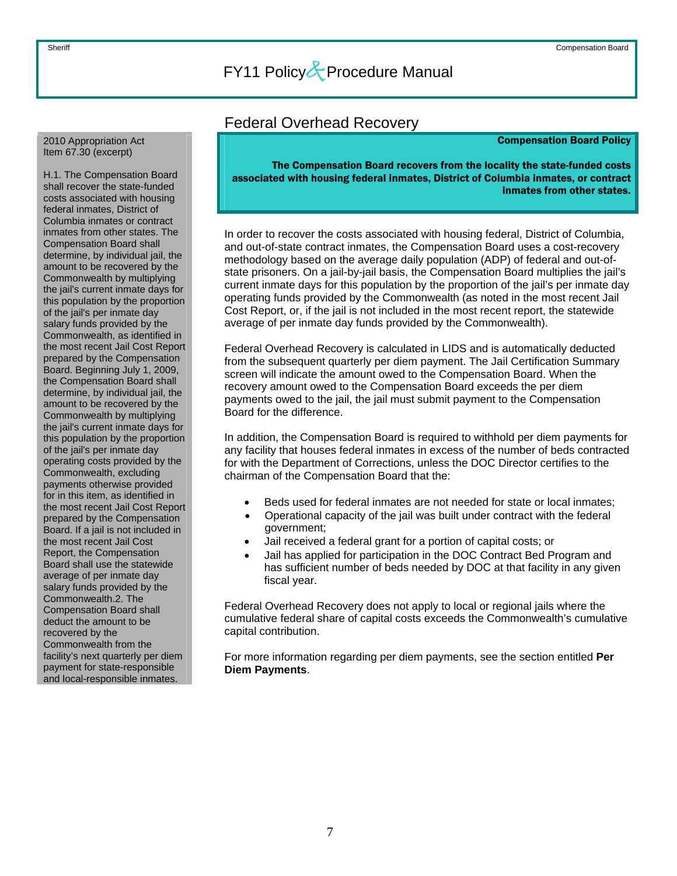### Federal Overhead Recovery

#### Compensation Board Policy

<span id="page-7-0"></span>2010 Appropriation Act Item 67.30 (excerpt)

H.1. The Compensation Board shall recover the state-funded costs associated with housing federal inmates, District of Columbia inmates or contract inmates from other states. The Compensation Board shall determine, by individual jail, the amount to be recovered by the Commonwealth by multiplying the jail's current inmate days for this population by the proportion of the jail's per inmate day salary funds provided by the Commonwealth, as identified in the most recent Jail Cost Report prepared by the Compensation Board. Beginning July 1, 2009, the Compensation Board shall determine, by individual jail, the amount to be recovered by the Commonwealth by multiplying the jail's current inmate days for this population by the proportion of the jail's per inmate day operating costs provided by the Commonwealth, excluding payments otherwise provided for in this item, as identified in the most recent Jail Cost Report prepared by the Compensation Board. If a jail is not included in the most recent Jail Cost Report, the Compensation Board shall use the statewide average of per inmate day salary funds provided by the Commonwealth.2. The Compensation Board shall deduct the amount to be recovered by the Commonwealth from the facility's next quarterly per diem payment for state-responsible and local-responsible inmates.

The Compensation Board recovers from the locality the state-funded costs associated with housing federal inmates, District of Columbia inmates, or contract inmates from other states.

In order to recover the costs associated with housing federal, District of Columbia, and out-of-state contract inmates, the Compensation Board uses a cost-recovery methodology based on the average daily population (ADP) of federal and out-ofstate prisoners. On a jail-by-jail basis, the Compensation Board multiplies the jail's current inmate days for this population by the proportion of the jail's per inmate day operating funds provided by the Commonwealth (as noted in the most recent Jail Cost Report, or, if the jail is not included in the most recent report, the statewide average of per inmate day funds provided by the Commonwealth).

Federal Overhead Recovery is calculated in LIDS and is automatically deducted from the subsequent quarterly per diem payment. The Jail Certification Summary screen will indicate the amount owed to the Compensation Board. When the recovery amount owed to the Compensation Board exceeds the per diem payments owed to the jail, the jail must submit payment to the Compensation Board for the difference.

In addition, the Compensation Board is required to withhold per diem payments for any facility that houses federal inmates in excess of the number of beds contracted for with the Department of Corrections, unless the DOC Director certifies to the chairman of the Compensation Board that the:

- Beds used for federal inmates are not needed for state or local inmates;
- Operational capacity of the jail was built under contract with the federal government;
- Jail received a federal grant for a portion of capital costs; or
- Jail has applied for participation in the DOC Contract Bed Program and has sufficient number of beds needed by DOC at that facility in any given fiscal year.

Federal Overhead Recovery does not apply to local or regional jails where the cumulative federal share of capital costs exceeds the Commonwealth's cumulative capital contribution.

For more information regarding per diem payments, see the section entitled **Per Diem Payments**.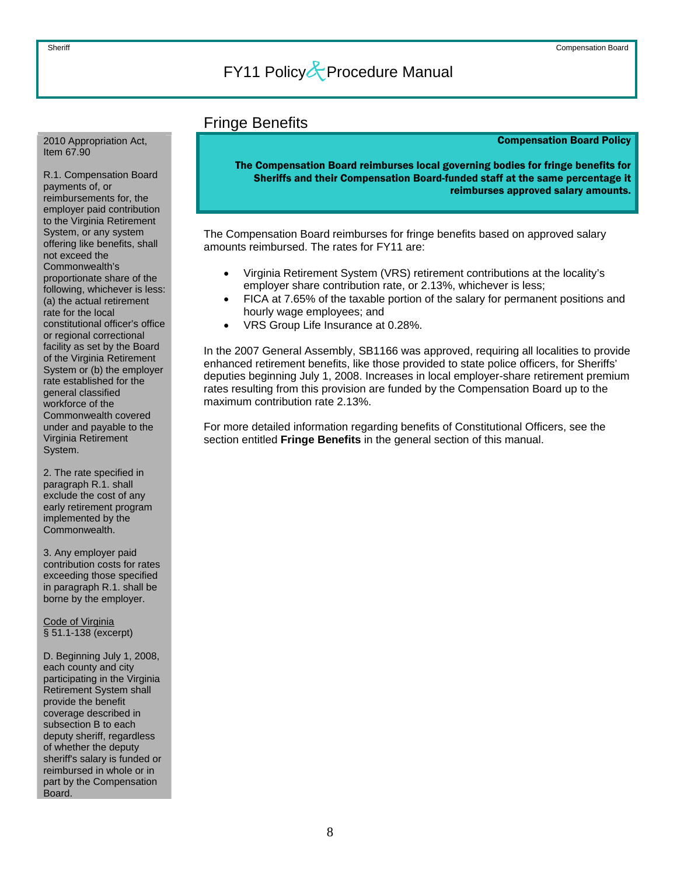### Fringe Benefits

### Compensation Board Policy

The Compensation Board reimburses local governing bodies for fringe benefits for Sheriffs and their Compensation Board-funded staff at the same percentage it reimburses approved salary amounts.

The Compensation Board reimburses for fringe benefits based on approved salary amounts reimbursed. The rates for FY11 are:

- Virginia Retirement System (VRS) retirement contributions at the locality's employer share contribution rate, or 2.13%, whichever is less;
- FICA at 7.65% of the taxable portion of the salary for permanent positions and hourly wage employees; and
- VRS Group Life Insurance at 0.28%.

In the 2007 General Assembly, SB1166 was approved, requiring all localities to provide enhanced retirement benefits, like those provided to state police officers, for Sheriffs' deputies beginning July 1, 2008. Increases in local employer-share retirement premium rates resulting from this provision are funded by the Compensation Board up to the maximum contribution rate 2.13%.

For more detailed information regarding benefits of Constitutional Officers, see the section entitled **Fringe Benefits** in the general section of this manual.

<span id="page-8-0"></span>2010 Appropriation Act, Item 67.90

R.1. Compensation Board payments of, or reimbursements for, the employer paid contribution to the Virginia Retirement System, or any system offering like benefits, shall not exceed the Commonwealth's proportionate share of the following, whichever is less: (a) the actual retirement rate for the local constitutional officer's office or regional correctional facility as set by the Board of the Virginia Retirement System or (b) the employer rate established for the general classified workforce of the Commonwealth covered under and payable to the Virginia Retirement System.

2. The rate specified in paragraph R.1. shall exclude the cost of any early retirement program implemented by the Commonwealth.

3. Any employer paid contribution costs for rates exceeding those specified in paragraph R.1. shall be borne by the employer.

Code of Virginia § 51.1-138 (excerpt)

D. Beginning July 1, 2008, each county and city participating in the Virginia Retirement System shall provide the benefit coverage described in subsection B to each deputy sheriff, regardless of whether the deputy sheriff's salary is funded or reimbursed in whole or in part by the Compensation Board.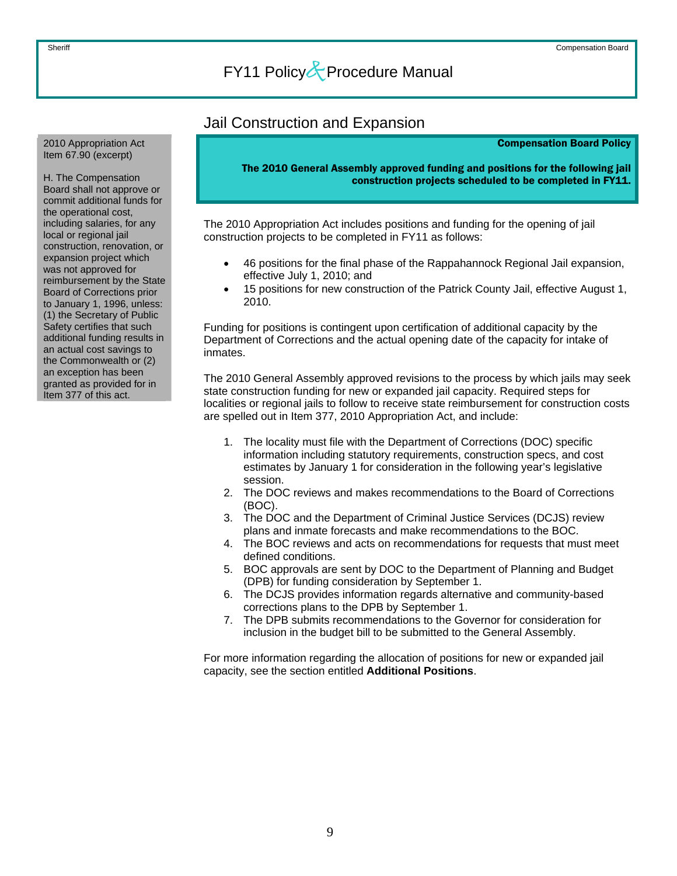### <span id="page-9-0"></span>Jail Construction and Expansion 2010 Appropriation Act

Compensation Board Policy

The 2010 General Assembly approved funding and positions for the following jail construction projects scheduled to be completed in FY11.

The 2010 Appropriation Act includes positions and funding for the opening of jail construction projects to be completed in FY11 as follows:

- 46 positions for the final phase of the Rappahannock Regional Jail expansion, effective July 1, 2010; and
- 15 positions for new construction of the Patrick County Jail, effective August 1, 2010.

Funding for positions is contingent upon certification of additional capacity by the Department of Corrections and the actual opening date of the capacity for intake of inmates.

The 2010 General Assembly approved revisions to the process by which jails may seek state construction funding for new or expanded jail capacity. Required steps for localities or regional jails to follow to receive state reimbursement for construction costs are spelled out in Item 377, 2010 Appropriation Act, and include:

- 1. The locality must file with the Department of Corrections (DOC) specific information including statutory requirements, construction specs, and cost estimates by January 1 for consideration in the following year's legislative session.
- 2. The DOC reviews and makes recommendations to the Board of Corrections (BOC).
- 3. The DOC and the Department of Criminal Justice Services (DCJS) review plans and inmate forecasts and make recommendations to the BOC.
- 4. The BOC reviews and acts on recommendations for requests that must meet defined conditions.
- 5. BOC approvals are sent by DOC to the Department of Planning and Budget (DPB) for funding consideration by September 1.
- 6. The DCJS provides information regards alternative and community-based corrections plans to the DPB by September 1.
- 7. The DPB submits recommendations to the Governor for consideration for inclusion in the budget bill to be submitted to the General Assembly.

For more information regarding the allocation of positions for new or expanded jail capacity, see the section entitled **Additional Positions**.

Item 67.90 (excerpt)

H. The Compensation Board shall not approve or commit additional funds for the operational cost, including salaries, for any local or regional jail construction, renovation, or expansion project which was not approved for reimbursement by the State Board of Corrections prior to January 1, 1996, unless: (1) the Secretary of Public Safety certifies that such additional funding results in an actual cost savings to the Commonwealth or (2) an exception has been granted as provided for in Item 377 of this act.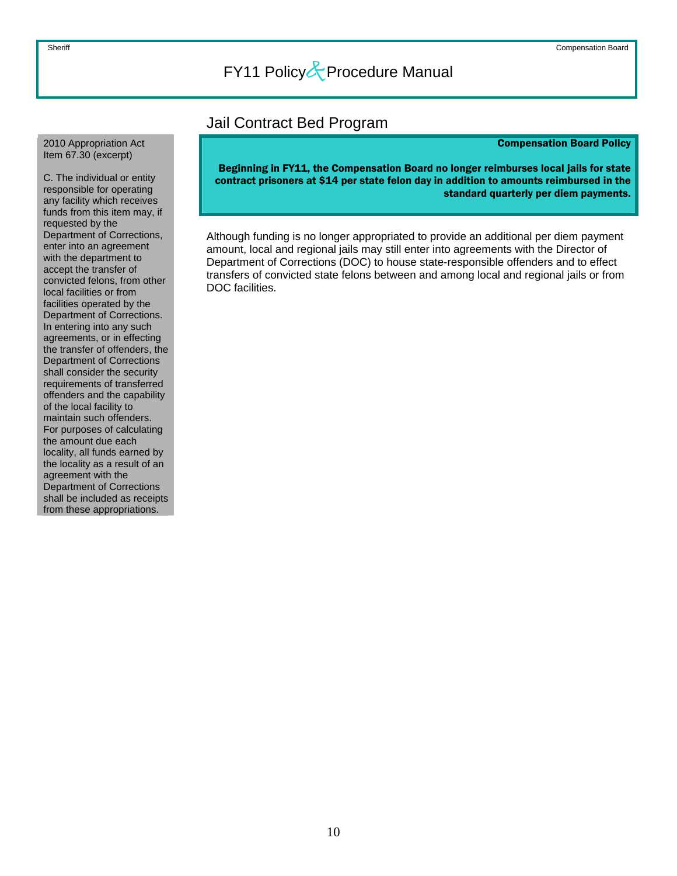### Jail Contract Bed Program

#### Compensation Board Policy

Beginning in FY11, the Compensation Board no longer reimburses local jails for state contract prisoners at \$14 per state felon day in addition to amounts reimbursed in the standard quarterly per diem payments.

Although funding is no longer appropriated to provide an additional per diem payment amount, local and regional jails may still enter into agreements with the Director of Department of Corrections (DOC) to house state-responsible offenders and to effect transfers of convicted state felons between and among local and regional jails or from DOC facilities.

#### <span id="page-10-0"></span>2010 Appropriation Act Item 67.30 (excerpt)

C. The individual or entity responsible for operating any facility which receives funds from this item may, if requested by the Department of Corrections, enter into an agreement with the department to accept the transfer of convicted felons, from other local facilities or from facilities operated by the Department of Corrections. In entering into any such agreements, or in effecting the transfer of offenders, the Department of Corrections shall consider the security requirements of transferred offenders and the capability of the local facility to maintain such offenders. For purposes of calculating the amount due each locality, all funds earned by the locality as a result of an agreement with the Department of Corrections shall be included as receipts from these appropriations.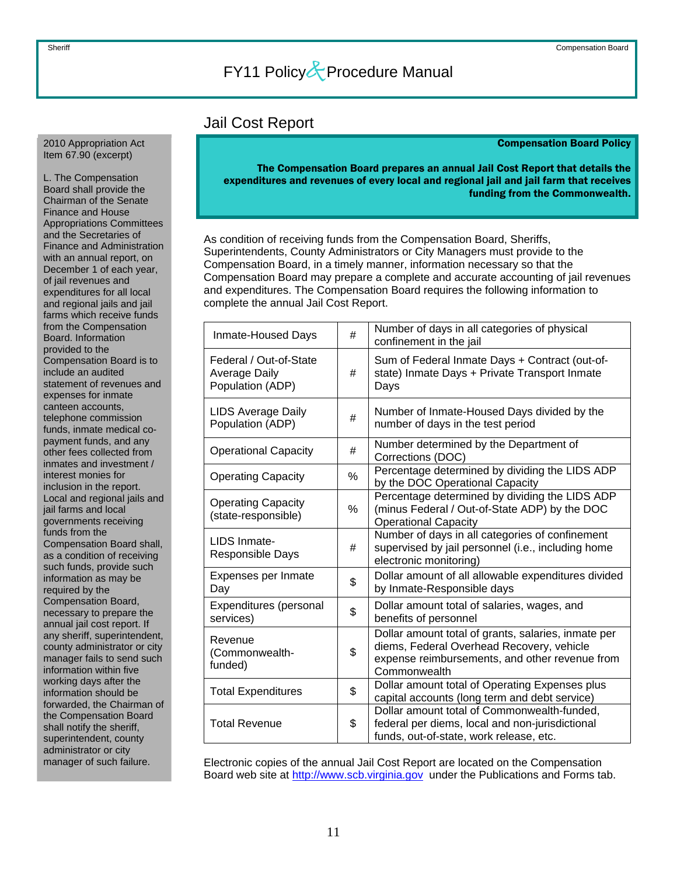### Jail Cost Report

#### Compensation Board Policy

<span id="page-11-0"></span>2010 Appropriation Act Item 67.90 (excerpt)

L. The Compensation Board shall provide the Chairman of the Senate Finance and House Appropriations Committees and the Secretaries of Finance and Administration with an annual report, on December 1 of each year, of jail revenues and expenditures for all local and regional jails and jail farms which receive funds from the Compensation Board. Information provided to the Compensation Board is to include an audited statement of revenues and expenses for inmate canteen accounts, telephone commission funds, inmate medical copayment funds, and any other fees collected from inmates and investment / interest monies for inclusion in the report. Local and regional jails and jail farms and local governments receiving funds from the Compensation Board shall, as a condition of receiving such funds, provide such information as may be required by the Compensation Board, necessary to prepare the annual jail cost report. If any sheriff, superintendent, county administrator or city manager fails to send such information within five working days after the information should be forwarded, the Chairman of the Compensation Board shall notify the sheriff, superintendent, county administrator or city manager of such failure.

The Compensation Board prepares an annual Jail Cost Report that details the expenditures and revenues of every local and regional jail and jail farm that receives funding from the Commonwealth.

As condition of receiving funds from the Compensation Board, Sheriffs, Superintendents, County Administrators or City Managers must provide to the Compensation Board, in a timely manner, information necessary so that the Compensation Board may prepare a complete and accurate accounting of jail revenues and expenditures. The Compensation Board requires the following information to complete the annual Jail Cost Report.

| Inmate-Housed Days                                          | #  | Number of days in all categories of physical<br>confinement in the jail                                                                                            |
|-------------------------------------------------------------|----|--------------------------------------------------------------------------------------------------------------------------------------------------------------------|
| Federal / Out-of-State<br>Average Daily<br>Population (ADP) | #  | Sum of Federal Inmate Days + Contract (out-of-<br>state) Inmate Days + Private Transport Inmate<br>Days                                                            |
| <b>LIDS Average Daily</b><br>Population (ADP)               | #  | Number of Inmate-Housed Days divided by the<br>number of days in the test period                                                                                   |
| <b>Operational Capacity</b>                                 | #  | Number determined by the Department of<br>Corrections (DOC)                                                                                                        |
| <b>Operating Capacity</b>                                   | %  | Percentage determined by dividing the LIDS ADP<br>by the DOC Operational Capacity                                                                                  |
| <b>Operating Capacity</b><br>(state-responsible)            | %  | Percentage determined by dividing the LIDS ADP<br>(minus Federal / Out-of-State ADP) by the DOC<br><b>Operational Capacity</b>                                     |
| LIDS Inmate-<br>Responsible Days                            | #  | Number of days in all categories of confinement<br>supervised by jail personnel (i.e., including home<br>electronic monitoring)                                    |
| Expenses per Inmate<br>Day                                  | \$ | Dollar amount of all allowable expenditures divided<br>by Inmate-Responsible days                                                                                  |
| Expenditures (personal<br>services)                         | \$ | Dollar amount total of salaries, wages, and<br>benefits of personnel                                                                                               |
| Revenue<br>(Commonwealth-<br>funded)                        | \$ | Dollar amount total of grants, salaries, inmate per<br>diems, Federal Overhead Recovery, vehicle<br>expense reimbursements, and other revenue from<br>Commonwealth |
| <b>Total Expenditures</b>                                   | \$ | Dollar amount total of Operating Expenses plus<br>capital accounts (long term and debt service)                                                                    |
| <b>Total Revenue</b>                                        | \$ | Dollar amount total of Commonwealth-funded,<br>federal per diems, local and non-jurisdictional<br>funds, out-of-state, work release, etc.                          |

Electronic copies of the annual Jail Cost Report are located on the Compensation Board web site at [http://www.scb.virginia.gov](http://www.scb.virginia.gov/) under the Publications and Forms tab.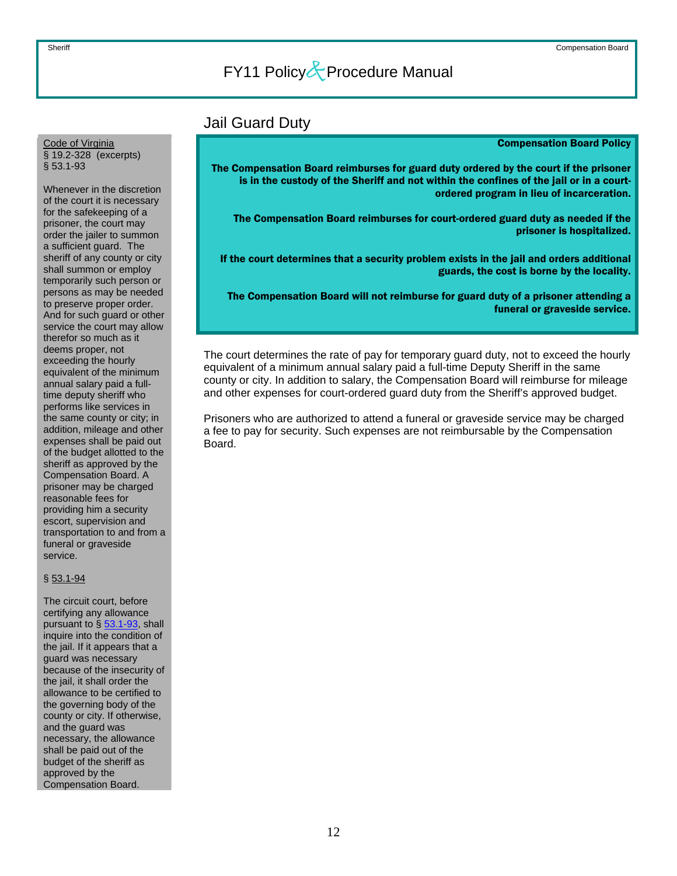Jail Guard Duty

#### Compensation Board Policy

The Compensation Board reimburses for guard duty ordered by the court if the prisoner is in the custody of the Sheriff and not within the confines of the jail or in a courtordered program in lieu of incarceration.

The Compensation Board reimburses for court-ordered guard duty as needed if the prisoner is hospitalized.

If the court determines that a security problem exists in the jail and orders additional guards, the cost is borne by the locality.

The Compensation Board will not reimburse for guard duty of a prisoner attending a funeral or graveside service.

The court determines the rate of pay for temporary guard duty, not to exceed the hourly equivalent of a minimum annual salary paid a full-time Deputy Sheriff in the same county or city. In addition to salary, the Compensation Board will reimburse for mileage and other expenses for court-ordered guard duty from the Sheriff's approved budget.

Prisoners who are authorized to attend a funeral or graveside service may be charged a fee to pay for security. Such expenses are not reimbursable by the Compensation Board.

<span id="page-12-0"></span>Code of Virginia § 19.2-328 (excerpts) § 53.1-93

Whenever in the discretion of the court it is necessary for the safekeeping of a prisoner, the court may order the jailer to summon a sufficient guard. The sheriff of any county or city shall summon or employ temporarily such person or persons as may be needed to preserve proper order. And for such guard or other service the court may allow therefor so much as it deems proper, not exceeding the hourly equivalent of the minimum annual salary paid a fulltime deputy sheriff who performs like services in the same county or city; in addition, mileage and other expenses shall be paid out of the budget allotted to the sheriff as approved by the Compensation Board. A prisoner may be charged reasonable fees for providing him a security escort, supervision and transportation to and from a funeral or graveside service.

#### § 53.1-94

The circuit court, before certifying any allowance pursuant to  $\S$  [53.1-93,](http://leg1.state.va.us/cgi-bin/legp504.exe?000+cod+53.1-93) shall inquire into the condition of the jail. If it appears that a guard was necessary because of the insecurity of the jail, it shall order the allowance to be certified to the governing body of the county or city. If otherwise, and the guard was necessary, the allowance shall be paid out of the budget of the sheriff as approved by the Compensation Board.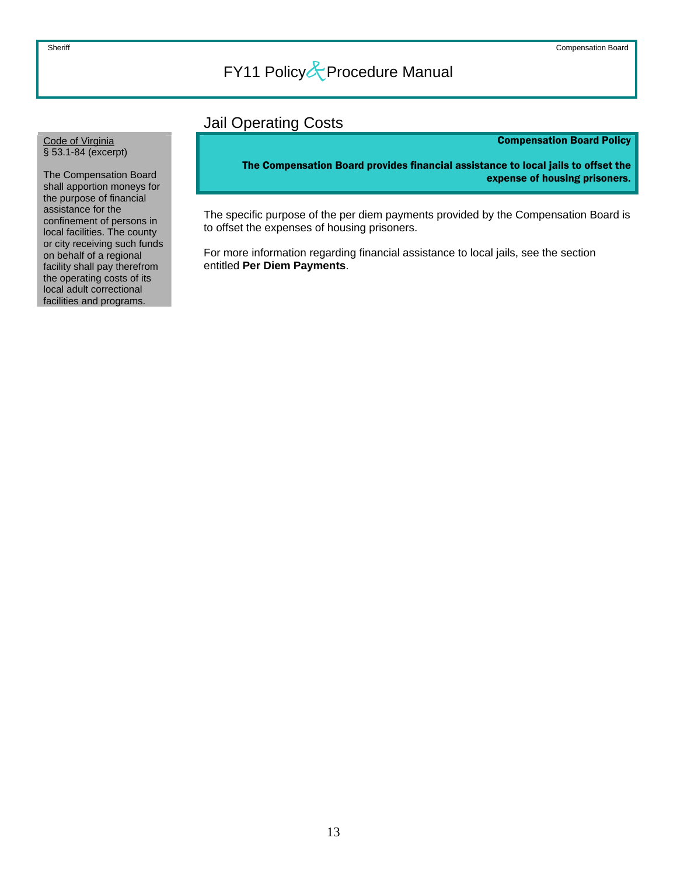### Jail Operating Costs

### Compensation Board Policy

The Compensation Board provides financial assistance to local jails to offset the expense of housing prisoners.

The specific purpose of the per diem payments provided by the Compensation Board is to offset the expenses of housing prisoners.

For more information regarding financial assistance to local jails, see the section entitled **Per Diem Payments**.

#### <span id="page-13-0"></span>Code of Virginia § 53.1-84 (excerpt)

The Compensation Board shall apportion moneys for the purpose of financial assistance for the confinement of persons in local facilities. The county or city receiving such funds on behalf of a regional facility shall pay therefrom the operating costs of its local adult correctional facilities and programs.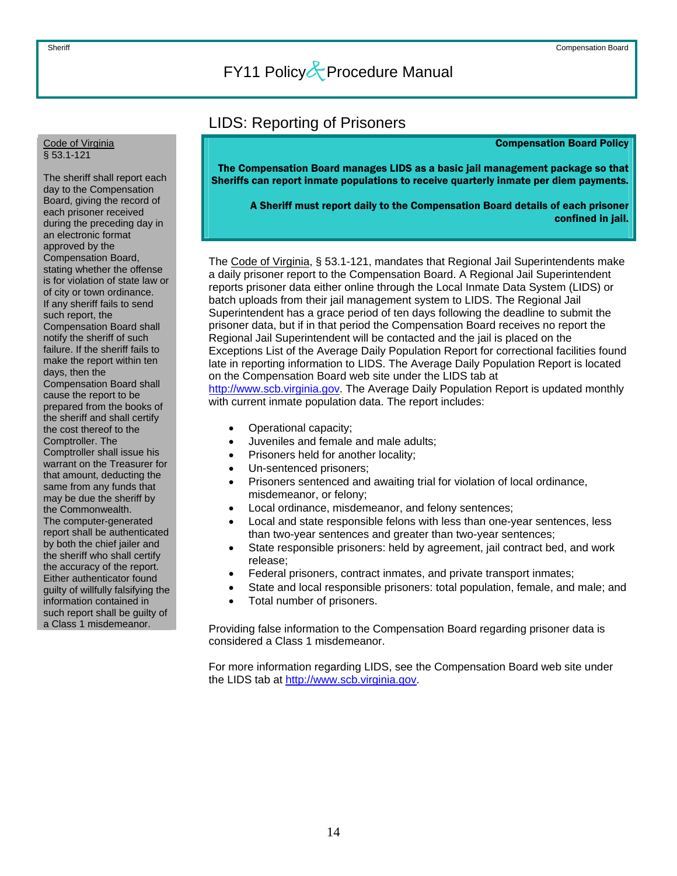### LIDS: Reporting of Prisoners

#### Compensation Board Policy

The Compensation Board manages LIDS as a basic jail management package so that Sheriffs can report inmate populations to receive quarterly inmate per diem payments.

A Sheriff must report daily to the Compensation Board details of each prisoner confined in jail.

The Code of Virginia, § 53.1-121, mandates that Regional Jail Superintendents make a daily prisoner report to the Compensation Board. A Regional Jail Superintendent reports prisoner data either online through the Local Inmate Data System (LIDS) or batch uploads from their jail management system to LIDS. The Regional Jail Superintendent has a grace period of ten days following the deadline to submit the prisoner data, but if in that period the Compensation Board receives no report the Regional Jail Superintendent will be contacted and the jail is placed on the Exceptions List of the Average Daily Population Report for correctional facilities found late in reporting information to LIDS. The Average Daily Population Report is located on the Compensation Board web site under the LIDS tab at [http://www.scb.virginia.gov](http://www.scb.virginia.gov/). The Average Daily Population Report is updated monthly with current inmate population data. The report includes:

- Operational capacity;
- Juveniles and female and male adults;
- Prisoners held for another locality;
- Un-sentenced prisoners;
- Prisoners sentenced and awaiting trial for violation of local ordinance, misdemeanor, or felony;
- Local ordinance, misdemeanor, and felony sentences;
- Local and state responsible felons with less than one-year sentences, less than two-year sentences and greater than two-year sentences;
- State responsible prisoners: held by agreement, jail contract bed, and work release;
- Federal prisoners, contract inmates, and private transport inmates;
- State and local responsible prisoners: total population, female, and male; and
- Total number of prisoners.

Providing false information to the Compensation Board regarding prisoner data is considered a Class 1 misdemeanor.

For more information regarding LIDS, see the Compensation Board web site under the LIDS tab at [http://www.scb.virginia.gov.](http://www.scb.virginia.gov/)

#### <span id="page-14-0"></span>Code of Virginia § 53.1-121

The sheriff shall report each day to the Compensation Board, giving the record of each prisoner received during the preceding day in an electronic format approved by the Compensation Board, stating whether the offense is for violation of state law or of city or town ordinance. If any sheriff fails to send such report, the Compensation Board shall notify the sheriff of such failure. If the sheriff fails to make the report within ten days, then the Compensation Board shall cause the report to be prepared from the books of the sheriff and shall certify the cost thereof to the Comptroller. The Comptroller shall issue his warrant on the Treasurer for that amount, deducting the same from any funds that may be due the sheriff by the Commonwealth. The computer-generated report shall be authenticated by both the chief jailer and the sheriff who shall certify the accuracy of the report. Either authenticator found guilty of willfully falsifying the information contained in such report shall be guilty of a Class 1 misdemeanor.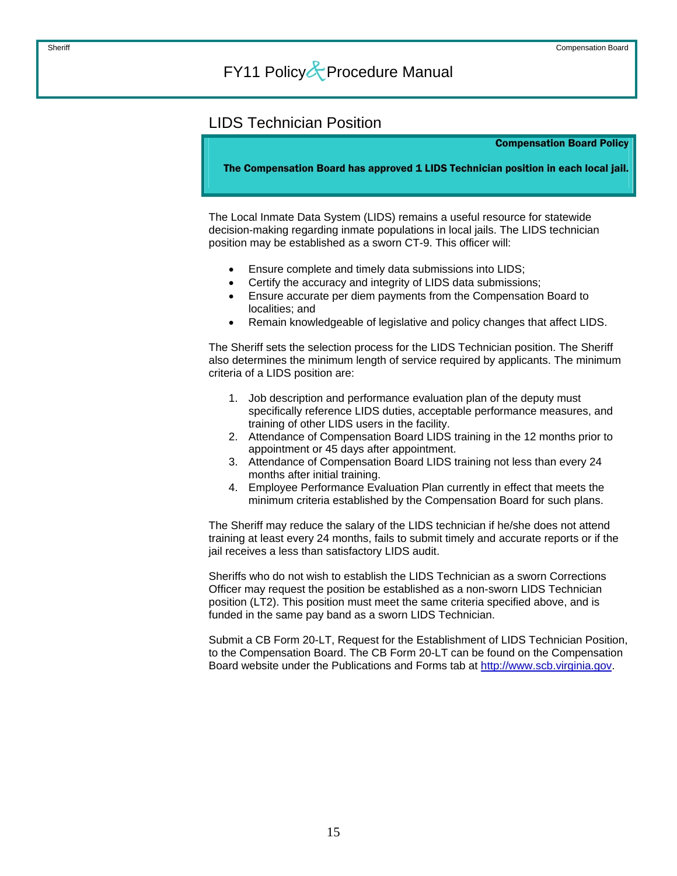### <span id="page-15-0"></span>LIDS Technician Position

Compensation Board Policy

The Compensation Board has approved 1 LIDS Technician position in each local jail.

The Local Inmate Data System (LIDS) remains a useful resource for statewide decision-making regarding inmate populations in local jails. The LIDS technician position may be established as a sworn CT-9. This officer will:

- Ensure complete and timely data submissions into LIDS;
- Certify the accuracy and integrity of LIDS data submissions;
- Ensure accurate per diem payments from the Compensation Board to localities; and
- Remain knowledgeable of legislative and policy changes that affect LIDS.

The Sheriff sets the selection process for the LIDS Technician position. The Sheriff also determines the minimum length of service required by applicants. The minimum criteria of a LIDS position are:

- 1. Job description and performance evaluation plan of the deputy must specifically reference LIDS duties, acceptable performance measures, and training of other LIDS users in the facility.
- 2. Attendance of Compensation Board LIDS training in the 12 months prior to appointment or 45 days after appointment.
- 3. Attendance of Compensation Board LIDS training not less than every 24 months after initial training.
- 4. Employee Performance Evaluation Plan currently in effect that meets the minimum criteria established by the Compensation Board for such plans.

The Sheriff may reduce the salary of the LIDS technician if he/she does not attend training at least every 24 months, fails to submit timely and accurate reports or if the jail receives a less than satisfactory LIDS audit.

Sheriffs who do not wish to establish the LIDS Technician as a sworn Corrections Officer may request the position be established as a non-sworn LIDS Technician position (LT2). This position must meet the same criteria specified above, and is funded in the same pay band as a sworn LIDS Technician.

Submit a CB Form 20-LT, Request for the Establishment of LIDS Technician Position, to the Compensation Board. The CB Form 20-LT can be found on the Compensation Board website under the Publications and Forms tab at [http://www.scb.virginia.gov.](http://www.scb.virginia.gov/)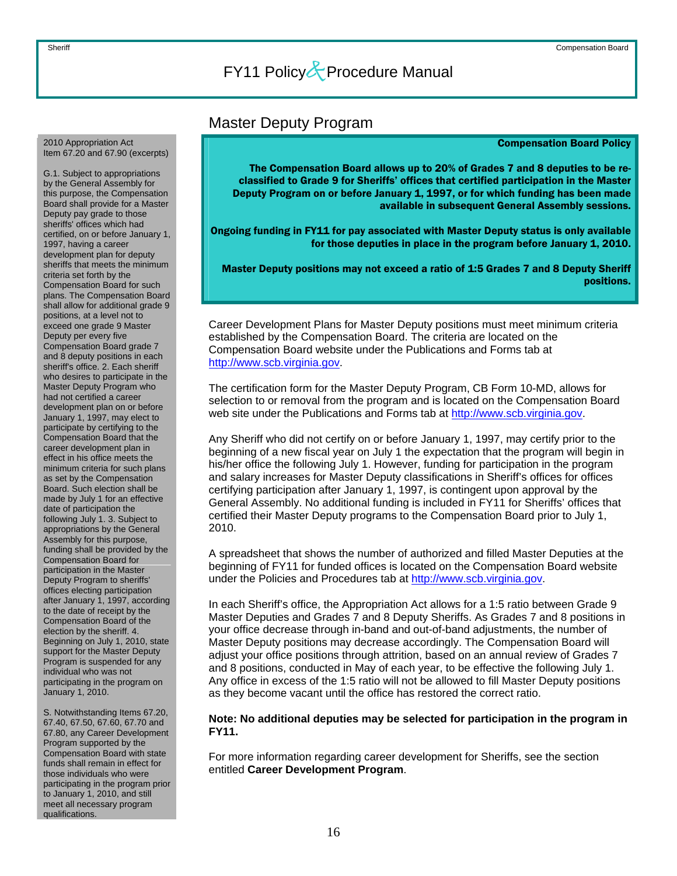### Master Deputy Program

#### Compensation Board Policy

The Compensation Board allows up to 20% of Grades 7 and 8 deputies to be reclassified to Grade 9 for Sheriffs' offices that certified participation in the Master Deputy Program on or before January 1, 1997, or for which funding has been made available in subsequent General Assembly sessions.

Ongoing funding in FY11 for pay associated with Master Deputy status is only available for those deputies in place in the program before January 1, 2010.

Master Deputy positions may not exceed a ratio of 1:5 Grades 7 and 8 Deputy Sheriff positions.

Career Development Plans for Master Deputy positions must meet minimum criteria established by the Compensation Board. The criteria are located on the Compensation Board website under the Publications and Forms tab at [http://www.scb.virginia.gov](http://www.scb.virginia.gov/).

The certification form for the Master Deputy Program, CB Form 10-MD, allows for selection to or removal from the program and is located on the Compensation Board web site under the Publications and Forms tab at [http://www.scb.virginia.gov.](http://www.scb.virginia.gov/)

Any Sheriff who did not certify on or before January 1, 1997, may certify prior to the beginning of a new fiscal year on July 1 the expectation that the program will begin in his/her office the following July 1. However, funding for participation in the program and salary increases for Master Deputy classifications in Sheriff's offices for offices certifying participation after January 1, 1997, is contingent upon approval by the General Assembly. No additional funding is included in FY11 for Sheriffs' offices that certified their Master Deputy programs to the Compensation Board prior to July 1, 2010.

A spreadsheet that shows the number of authorized and filled Master Deputies at the beginning of FY11 for funded offices is located on the Compensation Board website under the Policies and Procedures tab at [http://www.scb.virginia.gov.](http://www.scb.virginia.gov/)

In each Sheriff's office, the Appropriation Act allows for a 1:5 ratio between Grade 9 Master Deputies and Grades 7 and 8 Deputy Sheriffs. As Grades 7 and 8 positions in your office decrease through in-band and out-of-band adjustments, the number of Master Deputy positions may decrease accordingly. The Compensation Board will adjust your office positions through attrition, based on an annual review of Grades 7 and 8 positions, conducted in May of each year, to be effective the following July 1. Any office in excess of the 1:5 ratio will not be allowed to fill Master Deputy positions as they become vacant until the office has restored the correct ratio.

### **Note: No additional deputies may be selected for participation in the program in FY11.**

For more information regarding career development for Sheriffs, see the section entitled **Career Development Program**.

<span id="page-16-0"></span>2010 Appropriation Act Item 67.20 and 67.90 (excerpts)

G.1. Subject to appropriations by the General Assembly for this purpose, the Compensation Board shall provide for a Master Deputy pay grade to those sheriffs' offices which had certified, on or before January 1, 1997, having a career development plan for deputy sheriffs that meets the minimum criteria set forth by the Compensation Board for such plans. The Compensation Board shall allow for additional grade 9 positions, at a level not to exceed one grade 9 Master Deputy per every five Compensation Board grade 7 and 8 deputy positions in each sheriff's office. 2. Each sheriff who desires to participate in the Master Deputy Program who had not certified a career development plan on or before January 1, 1997, may elect to participate by certifying to the Compensation Board that the career development plan in effect in his office meets the minimum criteria for such plans as set by the Compensation Board. Such election shall be made by July 1 for an effective date of participation the following July 1. 3. Subject to appropriations by the General Assembly for this purpose, funding shall be provided by the Compensation Board for participation in the Master Deputy Program to sheriffs' offices electing participation after January 1, 1997, according to the date of receipt by the Compensation Board of the election by the sheriff. 4. Beginning on July 1, 2010, state support for the Master Deputy Program is suspended for any individual who was not participating in the program on January 1, 2010.

S. Notwithstanding Items 67.20, 67.40, 67.50, 67.60, 67.70 and 67.80, any Career Development Program supported by the Compensation Board with state funds shall remain in effect for those individuals who were participating in the program prior to January 1, 2010, and still meet all necessary program qualifications.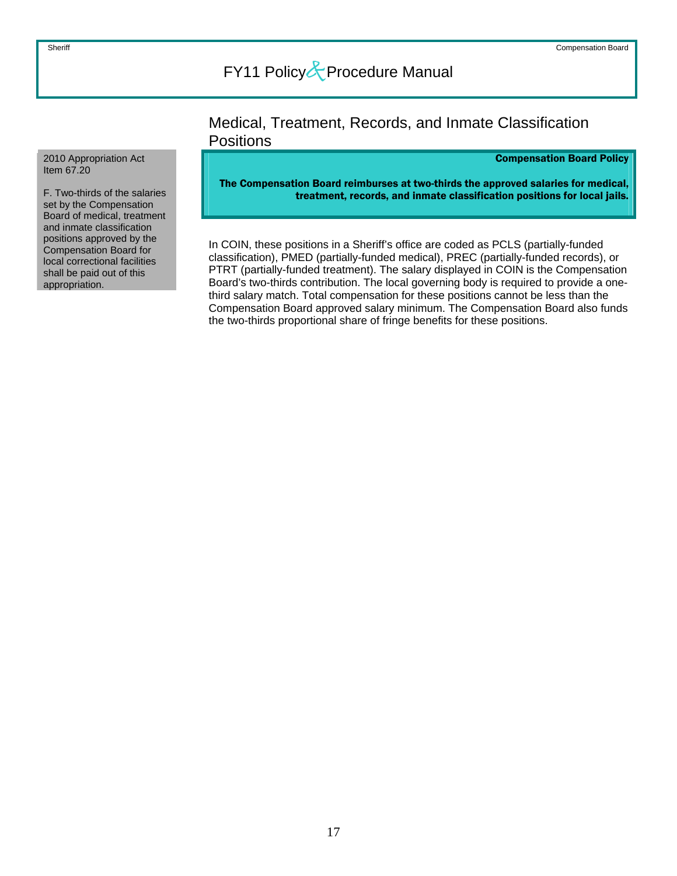### Medical, Treatment, Records, and Inmate Classification **Positions**

### Compensation Board Policy

The Compensation Board reimburses at two-thirds the approved salaries for medical, treatment, records, and inmate classification positions for local jails.

In COIN, these positions in a Sheriff's office are coded as PCLS (partially-funded classification), PMED (partially-funded medical), PREC (partially-funded records), or PTRT (partially-funded treatment). The salary displayed in COIN is the Compensation Board's two-thirds contribution. The local governing body is required to provide a onethird salary match. Total compensation for these positions cannot be less than the Compensation Board approved salary minimum. The Compensation Board also funds the two-thirds proportional share of fringe benefits for these positions.

#### <span id="page-17-0"></span>2010 Appropriation Act Item 67.20

F. Two-thirds of the salaries set by the Compensation Board of medical, treatment and inmate classification positions approved by the Compensation Board for local correctional facilities shall be paid out of this appropriation.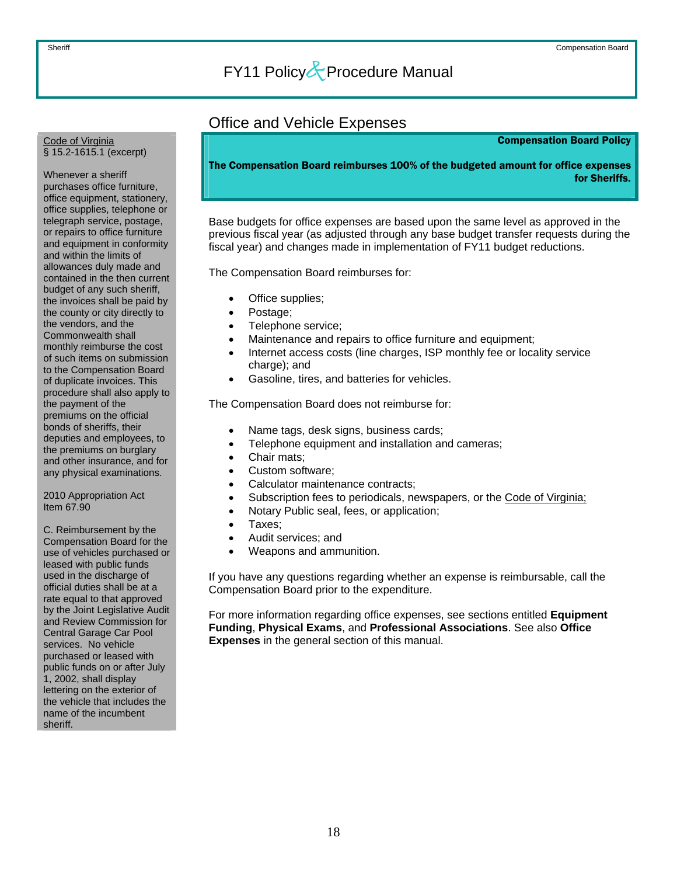### Office and Vehicle Expenses

#### Compensation Board Policy

<span id="page-18-0"></span>Code of Virginia § 15.2-1615.1 (excerpt)

Whenever a sheriff purchases office furniture, office equipment, stationery, office supplies, telephone or telegraph service, postage, or repairs to office furniture and equipment in conformity and within the limits of allowances duly made and contained in the then current budget of any such sheriff, the invoices shall be paid by the county or city directly to the vendors, and the Commonwealth shall monthly reimburse the cost of such items on submission to the Compensation Board of duplicate invoices. This procedure shall also apply to the payment of the premiums on the official bonds of sheriffs, their deputies and employees, to the premiums on burglary and other insurance, and for any physical examinations.

2010 Appropriation Act Item 67.90

C. Reimbursement by the Compensation Board for the use of vehicles purchased or leased with public funds used in the discharge of official duties shall be at a rate equal to that approved by the Joint Legislative Audit and Review Commission for Central Garage Car Pool services. No vehicle purchased or leased with public funds on or after July 1, 2002, shall display lettering on the exterior of the vehicle that includes the name of the incumbent sheriff.

The Compensation Board reimburses 100% of the budgeted amount for office expenses for Sheriffs.

Base budgets for office expenses are based upon the same level as approved in the previous fiscal year (as adjusted through any base budget transfer requests during the fiscal year) and changes made in implementation of FY11 budget reductions.

The Compensation Board reimburses for:

- Office supplies;
- Postage:
- Telephone service;
- Maintenance and repairs to office furniture and equipment;
- Internet access costs (line charges, ISP monthly fee or locality service charge); and
- Gasoline, tires, and batteries for vehicles.

The Compensation Board does not reimburse for:

- Name tags, desk signs, business cards;
- Telephone equipment and installation and cameras;
- Chair mats;
- Custom software;
- Calculator maintenance contracts;
- Subscription fees to periodicals, newspapers, or the Code of Virginia;
- Notary Public seal, fees, or application;
- Taxes;
- Audit services; and
- Weapons and ammunition.

If you have any questions regarding whether an expense is reimbursable, call the Compensation Board prior to the expenditure.

For more information regarding office expenses, see sections entitled **Equipment Funding**, **Physical Exams**, and **Professional Associations**. See also **Office Expenses** in the general section of this manual.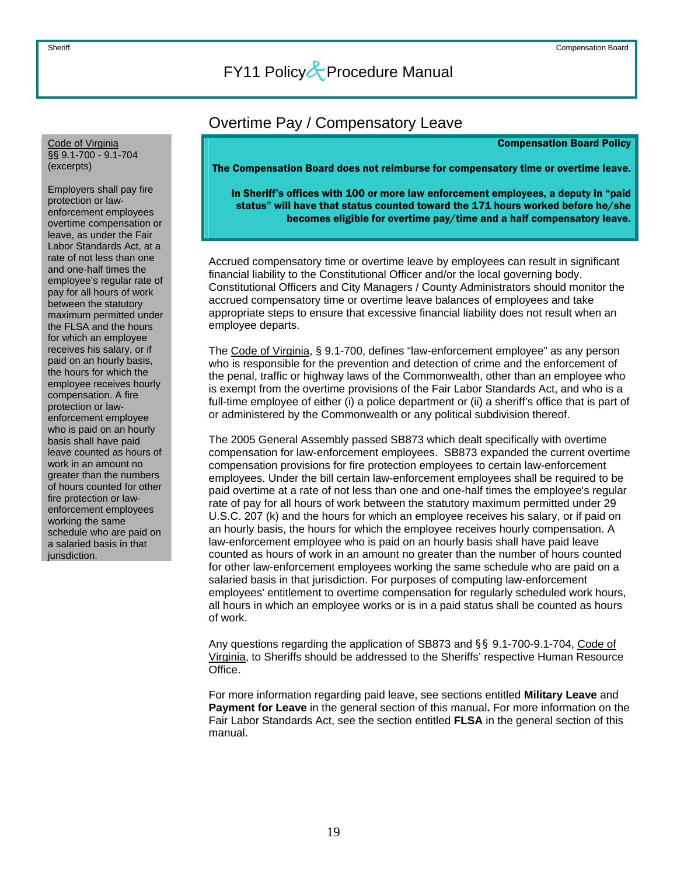<span id="page-19-0"></span>Code of Virginia §§ 9.1-700 - 9.1-704 (excerpts)

Employers shall pay fire protection or lawenforcement employees overtime compensation or leave, as under the Fair Labor Standards Act, at a rate of not less than one and one-half times the employee's regular rate of pay for all hours of work between the statutory maximum permitted under the FLSA and the hours for which an employee receives his salary, or if paid on an hourly basis, the hours for which the employee receives hourly compensation. A fire protection or lawenforcement employee who is paid on an hourly basis shall have paid leave counted as hours of work in an amount no greater than the numbers of hours counted for other fire protection or lawenforcement employees working the same schedule who are paid on a salaried basis in that jurisdiction.

### Overtime Pay / Compensatory Leave

Compensation Board Policy

The Compensation Board does not reimburse for compensatory time or overtime leave.

In Sheriff's offices with 100 or more law enforcement employees, a deputy in "paid status" will have that status counted toward the 171 hours worked before he/she becomes eligible for overtime pay/time and a half compensatory leave.

Accrued compensatory time or overtime leave by employees can result in significant financial liability to the Constitutional Officer and/or the local governing body. Constitutional Officers and City Managers / County Administrators should monitor the accrued compensatory time or overtime leave balances of employees and take appropriate steps to ensure that excessive financial liability does not result when an employee departs.

The Code of Virginia, § 9.1-700, defines "law-enforcement employee" as any person who is responsible for the prevention and detection of crime and the enforcement of the penal, traffic or highway laws of the Commonwealth, other than an employee who is exempt from the overtime provisions of the Fair Labor Standards Act, and who is a full-time employee of either (i) a police department or (ii) a sheriff's office that is part of or administered by the Commonwealth or any political subdivision thereof.

The 2005 General Assembly passed SB873 which dealt specifically with overtime compensation for law-enforcement employees. SB873 expanded the current overtime compensation provisions for fire protection employees to certain law-enforcement employees. Under the bill certain law-enforcement employees shall be required to be paid overtime at a rate of not less than one and one-half times the employee's regular rate of pay for all hours of work between the statutory maximum permitted under 29 U.S.C. 207 (k) and the hours for which an employee receives his salary, or if paid on an hourly basis, the hours for which the employee receives hourly compensation. A law-enforcement employee who is paid on an hourly basis shall have paid leave counted as hours of work in an amount no greater than the number of hours counted for other law-enforcement employees working the same schedule who are paid on a salaried basis in that jurisdiction. For purposes of computing law-enforcement employees' entitlement to overtime compensation for regularly scheduled work hours, all hours in which an employee works or is in a paid status shall be counted as hours of work.

Any questions regarding the application of SB873 and §§ 9.1-700-9.1-704, Code of Virginia, to Sheriffs should be addressed to the Sheriffs' respective Human Resource Office.

For more information regarding paid leave, see sections entitled **Military Leave** and **Payment for Leave** in the general section of this manual**.** For more information on the Fair Labor Standards Act, see the section entitled **FLSA** in the general section of this manual.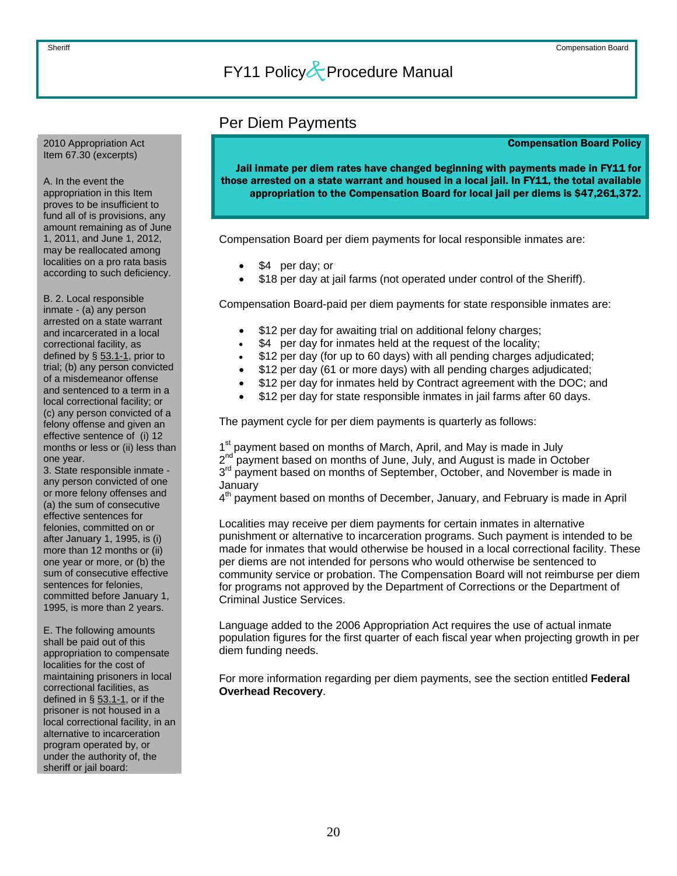#### <span id="page-20-0"></span>2010 Appropriation Act Item 67.30 (excerpts)

A. In the event the appropriation in this Item proves to be insufficient to fund all of is provisions, any amount remaining as of June 1, 2011, and June 1, 2012, may be reallocated among localities on a pro rata basis according to such deficiency.

B. 2. Local responsible inmate - (a) any person arrested on a state warrant and incarcerated in a local correctional facility, as defined by § 53.1-1, prior to trial; (b) any person convicted of a misdemeanor offense and sentenced to a term in a local correctional facility; or (c) any person convicted of a felony offense and given an effective sentence of (i) 12 months or less or (ii) less than one year.

3. State responsible inmate any person convicted of one or more felony offenses and (a) the sum of consecutive effective sentences for felonies, committed on or after January 1, 1995, is (i) more than 12 months or (ii) one year or more, or (b) the sum of consecutive effective sentences for felonies, committed before January 1, 1995, is more than 2 years.

E. The following amounts shall be paid out of this appropriation to compensate localities for the cost of maintaining prisoners in local correctional facilities, as defined in  $\S$  53.1-1, or if the prisoner is not housed in a local correctional facility, in an alternative to incarceration program operated by, or under the authority of, the sheriff or jail board:

### Per Diem Payments

#### Compensation Board Policy

Jail inmate per diem rates have changed beginning with payments made in FY11 for those arrested on a state warrant and housed in a local jail. In FY11, the total available appropriation to the Compensation Board for local jail per diems is \$47,261,372.

Compensation Board per diem payments for local responsible inmates are:

- \$4 per day; or
- \$18 per day at jail farms (not operated under control of the Sheriff).

Compensation Board-paid per diem payments for state responsible inmates are:

- \$12 per day for awaiting trial on additional felony charges;
- \$4 per day for inmates held at the request of the locality;
- \$12 per day (for up to 60 days) with all pending charges adjudicated;
- \$12 per day (61 or more days) with all pending charges adjudicated;
- \$12 per day for inmates held by Contract agreement with the DOC; and
- \$12 per day for state responsible inmates in jail farms after 60 days.

The payment cycle for per diem payments is quarterly as follows:

1<sup>st</sup> payment based on months of March, April, and May is made in July 2<sup>nd</sup> payment based on months of June, July, and August is made in October 3<sup>rd</sup> payment based on months of September, October, and November is made in January

4<sup>th</sup> payment based on months of December, January, and February is made in April

Localities may receive per diem payments for certain inmates in alternative punishment or alternative to incarceration programs. Such payment is intended to be made for inmates that would otherwise be housed in a local correctional facility. These per diems are not intended for persons who would otherwise be sentenced to community service or probation. The Compensation Board will not reimburse per diem for programs not approved by the Department of Corrections or the Department of Criminal Justice Services.

Language added to the 2006 Appropriation Act requires the use of actual inmate population figures for the first quarter of each fiscal year when projecting growth in per diem funding needs.

For more information regarding per diem payments, see the section entitled **Federal Overhead Recovery**.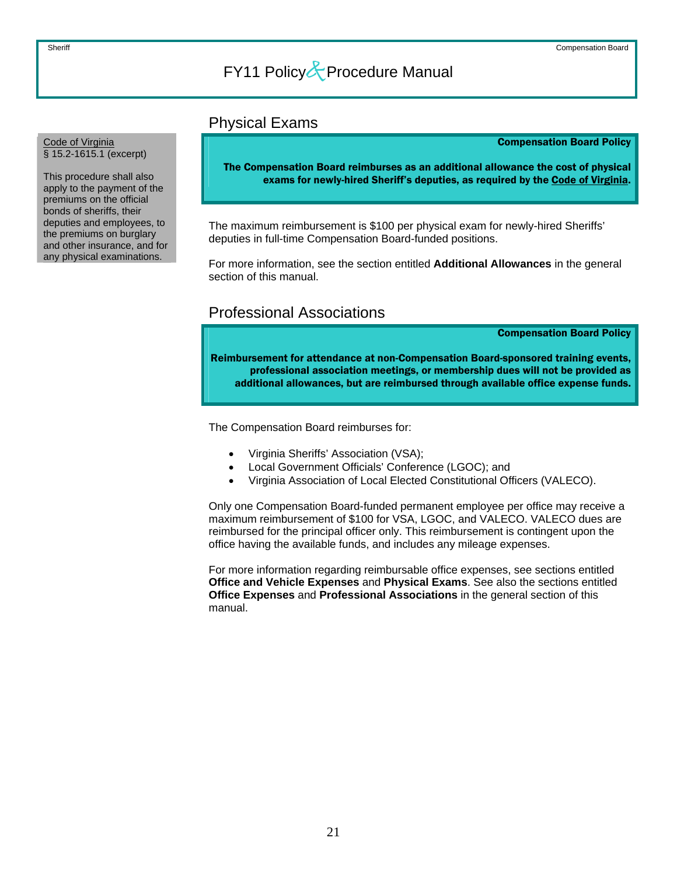### Physical Exams

Compensation Board Policy

The Compensation Board reimburses as an additional allowance the cost of physical exams for newly-hired Sheriff's deputies, as required by the Code of Virginia.

The maximum reimbursement is \$100 per physical exam for newly-hired Sheriffs' deputies in full-time Compensation Board-funded positions.

For more information, see the section entitled **Additional Allowances** in the general section of this manual.

### Professional Associations

Compensation Board Policy

Reimbursement for attendance at non-Compensation Board-sponsored training events, professional association meetings, or membership dues will not be provided as additional allowances, but are reimbursed through available office expense funds.

The Compensation Board reimburses for:

- Virginia Sheriffs' Association (VSA);
- Local Government Officials' Conference (LGOC); and
- Virginia Association of Local Elected Constitutional Officers (VALECO).

Only one Compensation Board-funded permanent employee per office may receive a maximum reimbursement of \$100 for VSA, LGOC, and VALECO. VALECO dues are reimbursed for the principal officer only. This reimbursement is contingent upon the office having the available funds, and includes any mileage expenses.

For more information regarding reimbursable office expenses, see sections entitled **Office and Vehicle Expenses** and **Physical Exams**. See also the sections entitled **Office Expenses** and **Professional Associations** in the general section of this manual.

#### <span id="page-21-0"></span>Code of Virginia § 15.2-1615.1 (excerpt)

This procedure shall also apply to the payment of the premiums on the official bonds of sheriffs, their deputies and employees, to the premiums on burglary and other insurance, and for any physical examinations.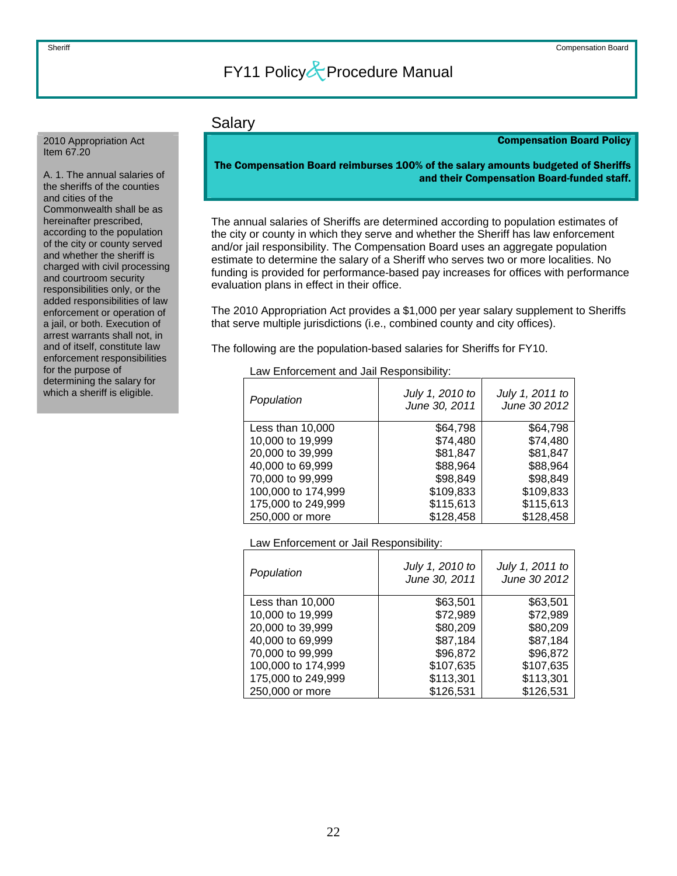### Salary

### Compensation Board Policy

The Compensation Board reimburses 100% of the salary amounts budgeted of Sheriffs and their Compensation Board-funded staff.

The annual salaries of Sheriffs are determined according to population estimates of the city or county in which they serve and whether the Sheriff has law enforcement and/or jail responsibility. The Compensation Board uses an aggregate population estimate to determine the salary of a Sheriff who serves two or more localities. No funding is provided for performance-based pay increases for offices with performance evaluation plans in effect in their office.

The 2010 Appropriation Act provides a \$1,000 per year salary supplement to Sheriffs that serve multiple jurisdictions (i.e., combined county and city offices).

The following are the population-based salaries for Sheriffs for FY10.

### Law Enforcement and Jail Responsibility:

| Population         | July 1, 2010 to<br>June 30, 2011 | July 1, 2011 to<br>June 30 2012 |
|--------------------|----------------------------------|---------------------------------|
| Less than 10,000   | \$64,798                         | \$64.798                        |
| 10,000 to 19,999   | \$74,480                         | \$74,480                        |
| 20,000 to 39,999   | \$81,847                         | \$81,847                        |
| 40,000 to 69,999   | \$88,964                         | \$88,964                        |
| 70,000 to 99,999   | \$98,849                         | \$98,849                        |
| 100,000 to 174,999 | \$109,833                        | \$109,833                       |
| 175,000 to 249,999 | \$115,613                        | \$115,613                       |
| 250,000 or more    | \$128,458                        | \$128,458                       |

### Law Enforcement or Jail Responsibility:

| Population         | July 1, 2010 to<br>June 30, 2011 | July 1, 2011 to<br>June 30 2012 |
|--------------------|----------------------------------|---------------------------------|
| Less than 10,000   | \$63,501                         | \$63,501                        |
| 10,000 to 19,999   | \$72,989                         | \$72,989                        |
| 20,000 to 39,999   | \$80,209                         | \$80,209                        |
| 40,000 to 69,999   | \$87,184                         | \$87,184                        |
| 70,000 to 99,999   | \$96,872                         | \$96,872                        |
| 100,000 to 174,999 | \$107,635                        | \$107,635                       |
| 175,000 to 249,999 | \$113,301                        | \$113,301                       |
| 250,000 or more    | \$126,531                        | \$126,531                       |

<span id="page-22-0"></span>2010 Appropriation Act Item 67.20

A. 1. The annual salaries of the sheriffs of the counties and cities of the Commonwealth shall be as hereinafter prescribed, according to the population of the city or county served and whether the sheriff is charged with civil processing and courtroom security responsibilities only, or the added responsibilities of law enforcement or operation of a jail, or both. Execution of arrest warrants shall not, in and of itself, constitute law enforcement responsibilities for the purpose of determining the salary for which a sheriff is eligible.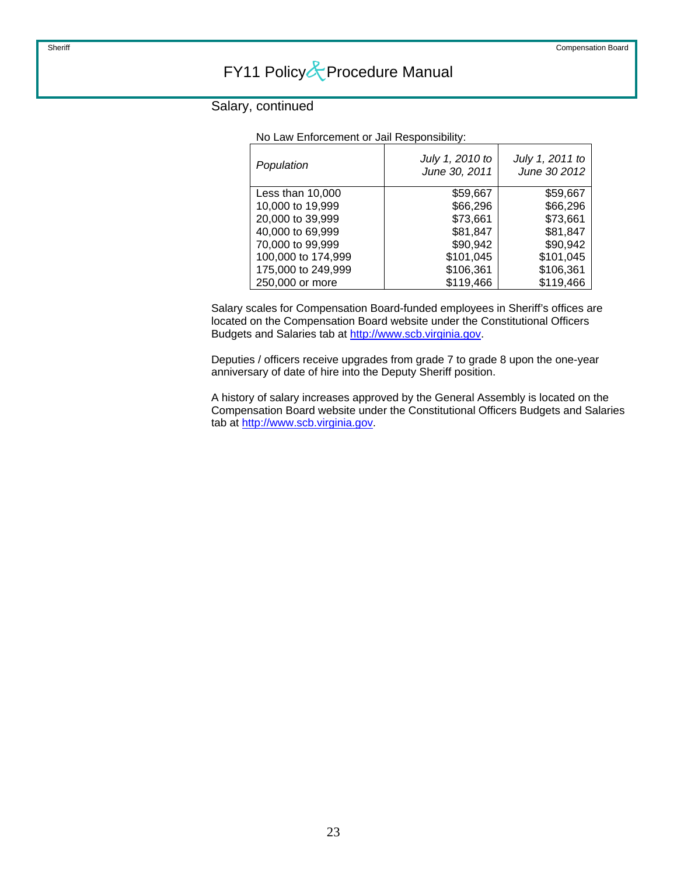No Law Enforcement or Jail Responsibility:

### Salary, continued

| Population         | July 1, 2010 to<br>June 30, 2011 | July 1, 2011 to<br>June 30 2012 |
|--------------------|----------------------------------|---------------------------------|
| Less than 10,000   | \$59,667                         | \$59,667                        |
| 10,000 to 19,999   | \$66,296                         | \$66,296                        |
| 20,000 to 39,999   | \$73,661                         | \$73,661                        |
| 40,000 to 69,999   | \$81,847                         | \$81,847                        |
| 70,000 to 99,999   | \$90,942                         | \$90,942                        |
| 100,000 to 174,999 | \$101,045                        | \$101,045                       |
| 175,000 to 249,999 | \$106,361                        | \$106,361                       |
| 250,000 or more    | \$119,466                        | \$119,466                       |

Salary scales for Compensation Board-funded employees in Sheriff's offices are located on the Compensation Board website under the Constitutional Officers Budgets and Salaries tab at [http://www.scb.virginia.gov](http://www.scb.virginia.gov/).

Deputies / officers receive upgrades from grade 7 to grade 8 upon the one-year anniversary of date of hire into the Deputy Sheriff position.

A history of salary increases approved by the General Assembly is located on the Compensation Board website under the Constitutional Officers Budgets and Salaries tab at [http://www.scb.virginia.gov](http://www.scb.virginia.gov/).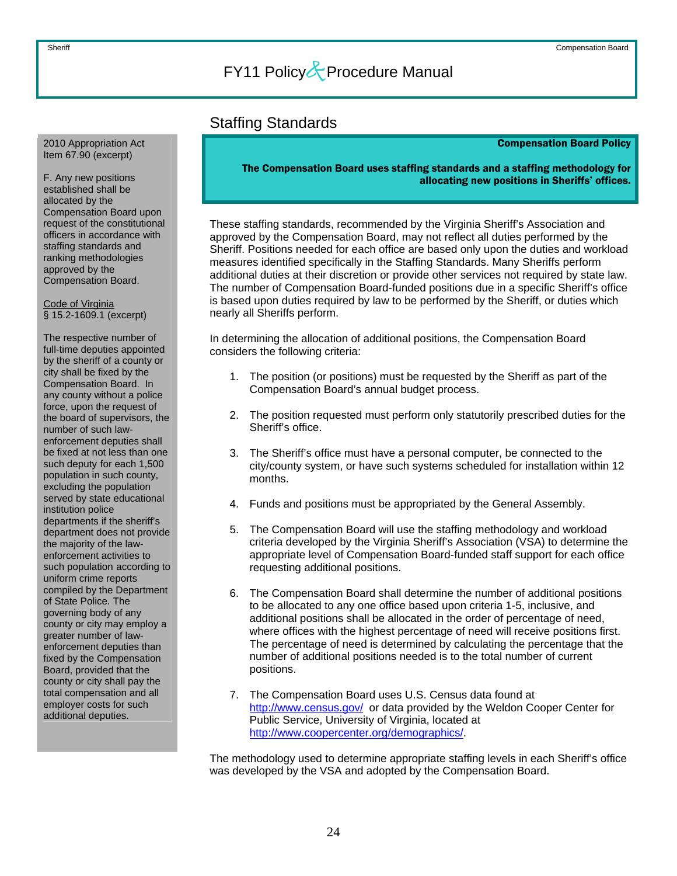### Staffing Standards

#### Compensation Board Policy

The Compensation Board uses staffing standards and a staffing methodology for allocating new positions in Sheriffs' offices.

These staffing standards, recommended by the Virginia Sheriff's Association and approved by the Compensation Board, may not reflect all duties performed by the Sheriff. Positions needed for each office are based only upon the duties and workload measures identified specifically in the Staffing Standards. Many Sheriffs perform additional duties at their discretion or provide other services not required by state law. The number of Compensation Board-funded positions due in a specific Sheriff's office is based upon duties required by law to be performed by the Sheriff, or duties which nearly all Sheriffs perform.

In determining the allocation of additional positions, the Compensation Board considers the following criteria:

- 1. The position (or positions) must be requested by the Sheriff as part of the Compensation Board's annual budget process.
- 2. The position requested must perform only statutorily prescribed duties for the Sheriff's office.
- 3. The Sheriff's office must have a personal computer, be connected to the city/county system, or have such systems scheduled for installation within 12 months.
- 4. Funds and positions must be appropriated by the General Assembly.
- 5. The Compensation Board will use the staffing methodology and workload criteria developed by the Virginia Sheriff's Association (VSA) to determine the appropriate level of Compensation Board-funded staff support for each office requesting additional positions.
- 6. The Compensation Board shall determine the number of additional positions to be allocated to any one office based upon criteria 1-5, inclusive, and additional positions shall be allocated in the order of percentage of need, where offices with the highest percentage of need will receive positions first. The percentage of need is determined by calculating the percentage that the number of additional positions needed is to the total number of current positions.
- 7. The Compensation Board uses U.S. Census data found at <http://www.census.gov/>or data provided by the Weldon Cooper Center for Public Service, University of Virginia, located at <http://www.coopercenter.org/demographics/>.

The methodology used to determine appropriate staffing levels in each Sheriff's office was developed by the VSA and adopted by the Compensation Board.

<span id="page-24-0"></span>2010 Appropriation Act Item 67.90 (excerpt)

F. Any new positions established shall be allocated by the Compensation Board upon request of the constitutional officers in accordance with staffing standards and ranking methodologies approved by the Compensation Board.

Code of Virginia § 15.2-1609.1 (excerpt)

The respective number of full-time deputies appointed by the sheriff of a county or city shall be fixed by the Compensation Board. In any county without a police force, upon the request of the board of supervisors, the number of such lawenforcement deputies shall be fixed at not less than one such deputy for each 1,500 population in such county, excluding the population served by state educational institution police departments if the sheriff's department does not provide the majority of the lawenforcement activities to such population according to uniform crime reports compiled by the Department of State Police. The governing body of any county or city may employ a greater number of lawenforcement deputies than fixed by the Compensation Board, provided that the county or city shall pay the total compensation and all employer costs for such additional deputies.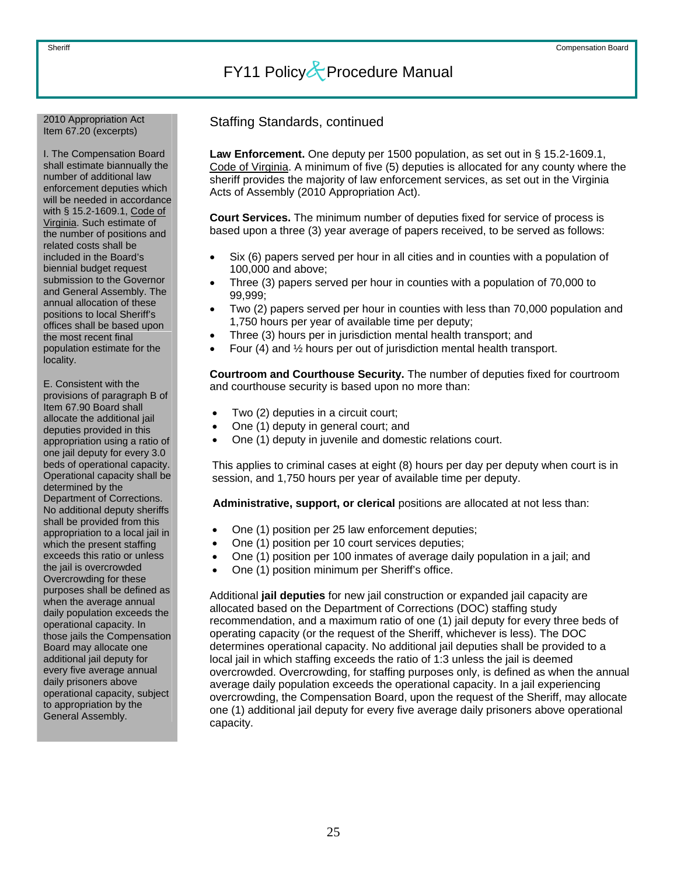## Item 67.20 (excerpts)

I. The Compensation Board shall estimate biannually the number of additional law enforcement deputies which will be needed in accordance with § 15.2-1609.1, Code of Virginia. Such estimate of the number of positions and related costs shall be included in the Board's biennial budget request submission to the Governor and General Assembly. The annual allocation of these positions to local Sheriff's offices shall be based upon the most recent final population estimate for the locality.

E. Consistent with the provisions of paragraph B of Item 67.90 Board shall allocate the additional jail deputies provided in this appropriation using a ratio of one jail deputy for every 3.0 beds of operational capacity. Operational capacity shall be determined by the Department of Corrections. No additional deputy sheriffs shall be provided from this appropriation to a local jail in which the present staffing exceeds this ratio or unless the jail is overcrowded Overcrowding for these purposes shall be defined as when the average annual daily population exceeds the operational capacity. In those jails the Compensation Board may allocate one additional jail deputy for every five average annual daily prisoners above operational capacity, subject to appropriation by the General Assembly.

Staffing Standards, continued 2010 Appropriation Act

**Law Enforcement.** One deputy per 1500 population, as set out in § 15.2-1609.1, Code of Virginia. A minimum of five (5) deputies is allocated for any county where the sheriff provides the majority of law enforcement services, as set out in the Virginia Acts of Assembly (2010 Appropriation Act).

**Court Services.** The minimum number of deputies fixed for service of process is based upon a three (3) year average of papers received, to be served as follows:

- Six (6) papers served per hour in all cities and in counties with a population of 100,000 and above;
- Three (3) papers served per hour in counties with a population of 70,000 to 99,999;
- Two (2) papers served per hour in counties with less than 70,000 population and 1,750 hours per year of available time per deputy;
- Three (3) hours per in jurisdiction mental health transport; and
- Four (4) and ½ hours per out of jurisdiction mental health transport.

**Courtroom and Courthouse Security.** The number of deputies fixed for courtroom and courthouse security is based upon no more than:

- Two (2) deputies in a circuit court;
- One (1) deputy in general court; and
- One (1) deputy in juvenile and domestic relations court.

This applies to criminal cases at eight (8) hours per day per deputy when court is in session, and 1,750 hours per year of available time per deputy.

**Administrative, support, or clerical** positions are allocated at not less than:

- One (1) position per 25 law enforcement deputies;
- One (1) position per 10 court services deputies;
- One (1) position per 100 inmates of average daily population in a jail; and
- One (1) position minimum per Sheriff's office.

Additional **jail deputies** for new jail construction or expanded jail capacity are allocated based on the Department of Corrections (DOC) staffing study recommendation, and a maximum ratio of one (1) jail deputy for every three beds of operating capacity (or the request of the Sheriff, whichever is less). The DOC determines operational capacity. No additional jail deputies shall be provided to a local jail in which staffing exceeds the ratio of 1:3 unless the jail is deemed overcrowded. Overcrowding, for staffing purposes only, is defined as when the annual average daily population exceeds the operational capacity. In a jail experiencing overcrowding, the Compensation Board, upon the request of the Sheriff, may allocate one (1) additional jail deputy for every five average daily prisoners above operational capacity.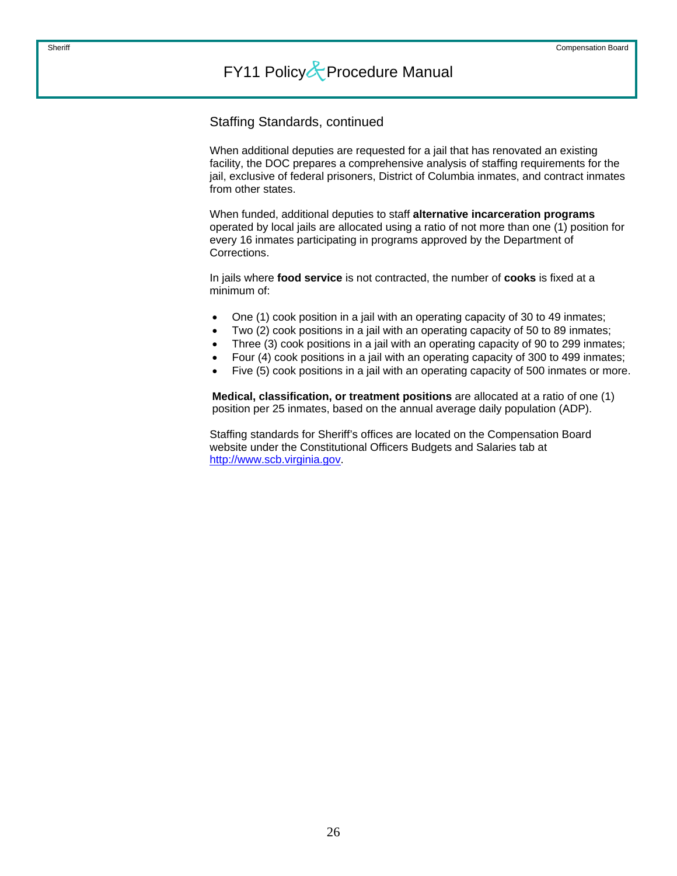Staffing Standards, continued

When additional deputies are requested for a jail that has renovated an existing facility, the DOC prepares a comprehensive analysis of staffing requirements for the jail, exclusive of federal prisoners, District of Columbia inmates, and contract inmates from other states.

When funded, additional deputies to staff **alternative incarceration programs** operated by local jails are allocated using a ratio of not more than one (1) position for every 16 inmates participating in programs approved by the Department of Corrections.

In jails where **food service** is not contracted, the number of **cooks** is fixed at a minimum of:

- One (1) cook position in a jail with an operating capacity of 30 to 49 inmates;
- Two (2) cook positions in a jail with an operating capacity of 50 to 89 inmates;
- Three (3) cook positions in a jail with an operating capacity of 90 to 299 inmates;
- Four (4) cook positions in a jail with an operating capacity of 300 to 499 inmates;
- Five (5) cook positions in a jail with an operating capacity of 500 inmates or more.

**Medical, classification, or treatment positions** are allocated at a ratio of one (1) position per 25 inmates, based on the annual average daily population (ADP).

Staffing standards for Sheriff's offices are located on the Compensation Board website under the Constitutional Officers Budgets and Salaries tab at [http://www.scb.virginia.gov](http://www.scb.virginia.gov/).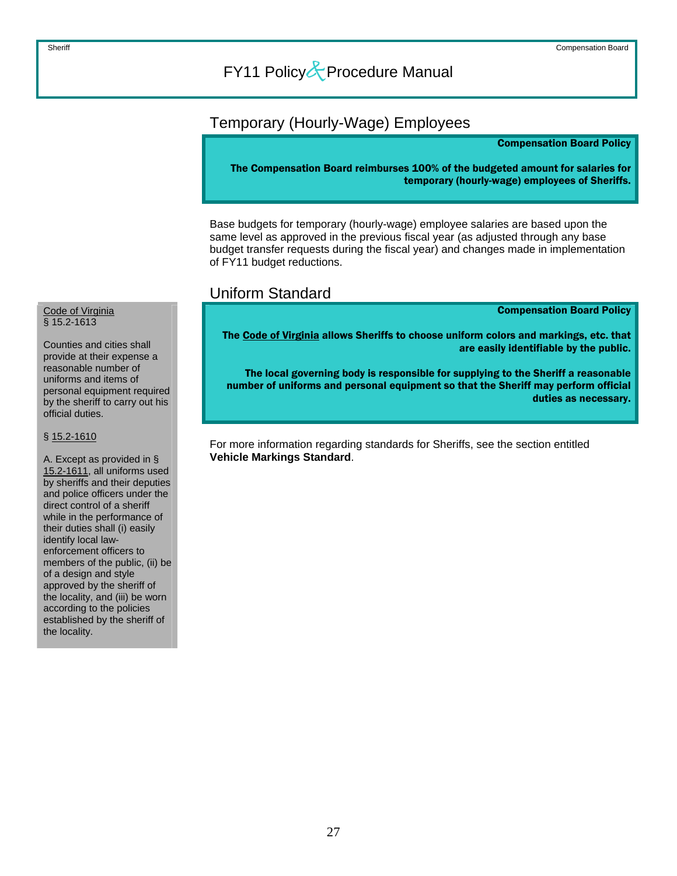### <span id="page-27-0"></span>Temporary (Hourly-Wage) Employees

#### Compensation Board Policy

The Compensation Board reimburses 100% of the budgeted amount for salaries for temporary (hourly-wage) employees of Sheriffs.

Base budgets for temporary (hourly-wage) employee salaries are based upon the same level as approved in the previous fiscal year (as adjusted through any base budget transfer requests during the fiscal year) and changes made in implementation of FY11 budget reductions.

### Uniform Standard

Compensation Board Policy

The Code of Virginia allows Sheriffs to choose uniform colors and markings, etc. that are easily identifiable by the public.

The local governing body is responsible for supplying to the Sheriff a reasonable number of uniforms and personal equipment so that the Sheriff may perform official duties as necessary.

For more information regarding standards for Sheriffs, see the section entitled **Vehicle Markings Standard**.

#### Code of Virginia § 15.2-1613

Counties and cities shall provide at their expense a reasonable number of uniforms and items of personal equipment required by the sheriff to carry out his official duties.

#### § 15.2-1610

A. Except as provided in § 15.2-1611, all uniforms used by sheriffs and their deputies and police officers under the direct control of a sheriff while in the performance of their duties shall (i) easily identify local lawenforcement officers to members of the public, (ii) be of a design and style approved by the sheriff of the locality, and (iii) be worn according to the policies established by the sheriff of the locality.